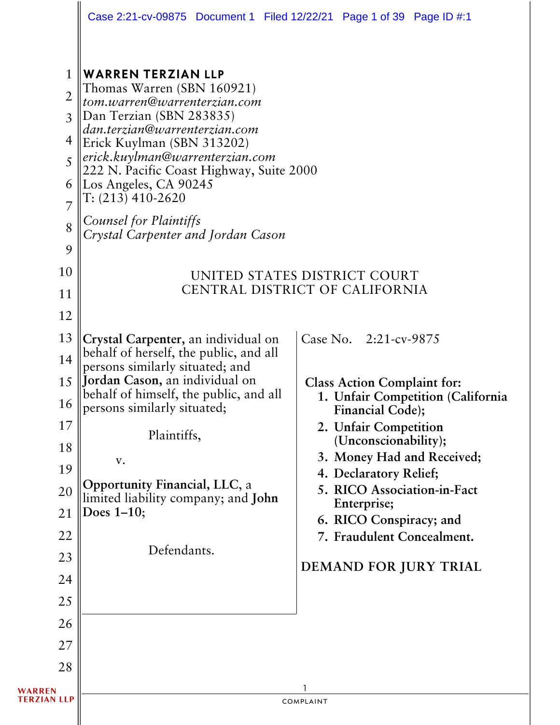|                                                                                  | Case 2:21-cv-09875 Document 1 Filed 12/22/21 Page 1 of 39 Page ID #:1                                                                                                                                                                                                                                                                                                                                                                               |           |                                                                                                                                                                                                                                                                   |                                                                                          |
|----------------------------------------------------------------------------------|-----------------------------------------------------------------------------------------------------------------------------------------------------------------------------------------------------------------------------------------------------------------------------------------------------------------------------------------------------------------------------------------------------------------------------------------------------|-----------|-------------------------------------------------------------------------------------------------------------------------------------------------------------------------------------------------------------------------------------------------------------------|------------------------------------------------------------------------------------------|
| 1<br>$\overline{2}$<br>3<br>4<br>5<br>6<br>7<br>8<br>9<br>10<br>11               | <b>WARREN TERZIAN LLP</b><br>Thomas Warren (SBN 160921)<br>tom.warren@warrenterzian.com<br>Dan Terzian (SBN 283835)<br>dan.terzian@warrenterzian.com<br>Erick Kuylman (SBN 313202)<br>erick.kuylman@warrenterzian.com<br>222 N. Pacific Coast Highway, Suite 2000<br>Los Angeles, CA 90245<br>$T: (213)$ 410-2620<br>Counsel for Plaintiffs<br>Crystal Carpenter and Jordan Cason<br>UNITED STATES DISTRICT COURT<br>CENTRAL DISTRICT OF CALIFORNIA |           |                                                                                                                                                                                                                                                                   |                                                                                          |
| 12<br>13<br>14<br>15<br>16<br>17<br>18<br>19<br>20<br>21<br>22<br>23<br>24<br>25 | Crystal Carpenter, an individual on<br>behalf of herself, the public, and all<br>persons similarly situated; and<br>Jordan Cason, an individual on<br>behalf of himself, the public, and all<br>persons similarly situated;<br>Plaintiffs,<br>$\mathbf{V}$ .<br>Opportunity Financial, LLC, a<br>limited liability company; and John<br>Does $1-10$ ;<br>Defendants.                                                                                |           | Case No. 2:21-cv-9875<br><b>Class Action Complaint for:</b><br>Financial Code);<br>2. Unfair Competition<br>(Unconscionability);<br>4. Declaratory Relief;<br>5. RICO Association-in-Fact<br>Enterprise;<br>6. RICO Conspiracy; and<br>7. Fraudulent Concealment. | 1. Unfair Competition (California<br>3. Money Had and Received;<br>DEMAND FOR JURY TRIAL |
| 26<br>27<br>28<br>WARREN<br><b>TERZIAN LLP</b>                                   |                                                                                                                                                                                                                                                                                                                                                                                                                                                     | COMPLAINT |                                                                                                                                                                                                                                                                   |                                                                                          |
|                                                                                  |                                                                                                                                                                                                                                                                                                                                                                                                                                                     |           |                                                                                                                                                                                                                                                                   |                                                                                          |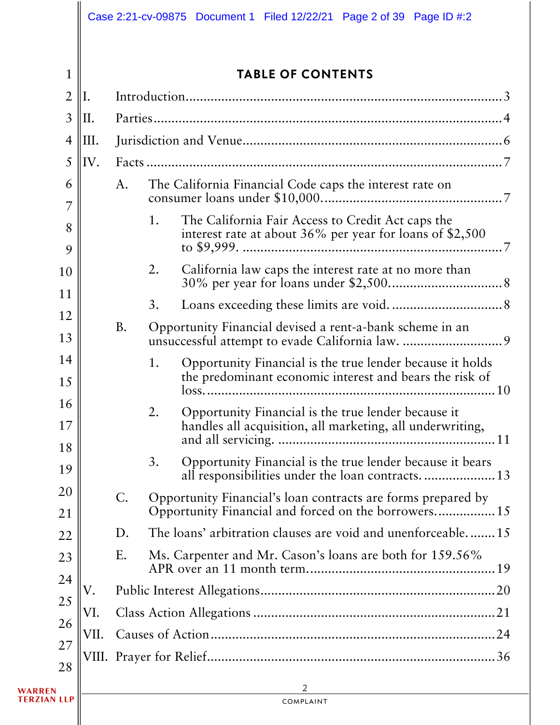1

## TABLE OF CONTENTS

| $\overline{2}$     | II.  |           |    |                                                                                                                                |
|--------------------|------|-----------|----|--------------------------------------------------------------------------------------------------------------------------------|
| $\mathfrak{Z}$     | II.  |           |    |                                                                                                                                |
| $\overline{4}$     | III. |           |    |                                                                                                                                |
| 5                  | IV.  |           |    |                                                                                                                                |
| 6                  |      | A.        |    | The California Financial Code caps the interest rate on                                                                        |
| 7<br>8<br>9        |      |           | 1. | The California Fair Access to Credit Act caps the<br>interest rate at about 36% per year for loans of \$2,500<br>to $$9,999$ . |
| 10                 |      |           | 2. | California law caps the interest rate at no more than                                                                          |
| 11                 |      |           | 3. |                                                                                                                                |
| 12<br>13           |      | <b>B.</b> |    | Opportunity Financial devised a rent-a-bank scheme in an                                                                       |
| 14<br>15           |      |           | 1. | Opportunity Financial is the true lender because it holds<br>the predominant economic interest and bears the risk of           |
| 16<br>17           |      |           | 2. | 10<br>Opportunity Financial is the true lender because it<br>handles all acquisition, all marketing, all underwriting,         |
| 18<br>19           |      |           | 3. | Opportunity Financial is the true lender because it bears<br>all responsibilities under the loan contracts 13                  |
| 20<br>21           |      | С.        |    | Opportunity Financial's loan contracts are forms prepared by<br>Opportunity Financial and forced on the borrowers 15           |
| 22                 |      | D.        |    | The loans' arbitration clauses are void and unenforceable15                                                                    |
| 23                 |      | Ε.        |    | Ms. Carpenter and Mr. Cason's loans are both for 159.56%                                                                       |
| 24                 | V.   |           |    |                                                                                                                                |
| 25                 | VI.  |           |    |                                                                                                                                |
| 26<br>27           | VII. |           |    |                                                                                                                                |
| 28                 |      |           |    |                                                                                                                                |
| WARREN             |      |           |    | 2                                                                                                                              |
| <b>TERZIAN LLP</b> |      |           |    | COMPLAINT                                                                                                                      |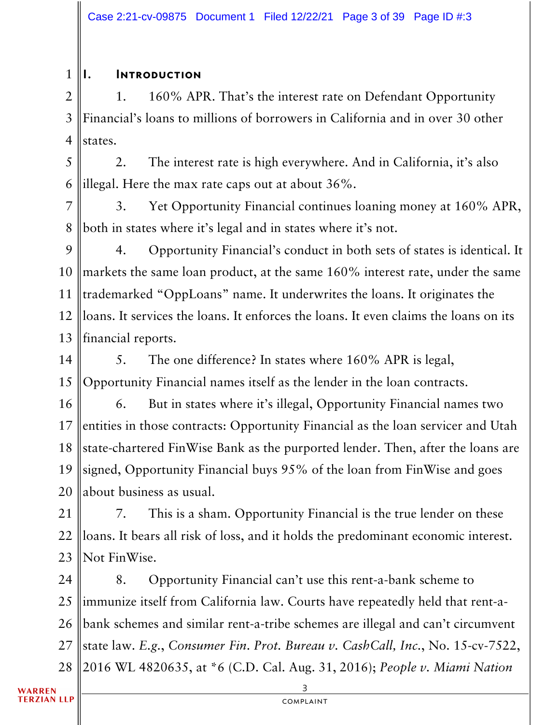#### 1 I. Introduction

2 3 4 1. 160% APR. That's the interest rate on Defendant Opportunity Financial's loans to millions of borrowers in California and in over 30 other states.

5 6 2. The interest rate is high everywhere. And in California, it's also illegal. Here the max rate caps out at about 36%.

7 8 3. Yet Opportunity Financial continues loaning money at 160% APR, both in states where it's legal and in states where it's not.

9 10 11 12 13 4. Opportunity Financial's conduct in both sets of states is identical. It markets the same loan product, at the same 160% interest rate, under the same trademarked "OppLoans" name. It underwrites the loans. It originates the loans. It services the loans. It enforces the loans. It even claims the loans on its financial reports.

14 15 5. The one difference? In states where 160% APR is legal, Opportunity Financial names itself as the lender in the loan contracts.

16 17 18 19 20 6. But in states where it's illegal, Opportunity Financial names two entities in those contracts: Opportunity Financial as the loan servicer and Utah state-chartered FinWise Bank as the purported lender. Then, after the loans are signed, Opportunity Financial buys 95% of the loan from FinWise and goes about business as usual.

21 22 23 7. This is a sham. Opportunity Financial is the true lender on these loans. It bears all risk of loss, and it holds the predominant economic interest. Not FinWise.

24 25 26 27 28 8. Opportunity Financial can't use this rent-a-bank scheme to immunize itself from California law. Courts have repeatedly held that rent-abank schemes and similar rent-a-tribe schemes are illegal and can't circumvent state law. *E.g.*, *Consumer Fin*. *Prot. Bureau v. CashCall, Inc.*, No. 15-cv-7522, 2016 WL 4820635, at \*6 (C.D. Cal. Aug. 31, 2016); *People v. Miami Nation*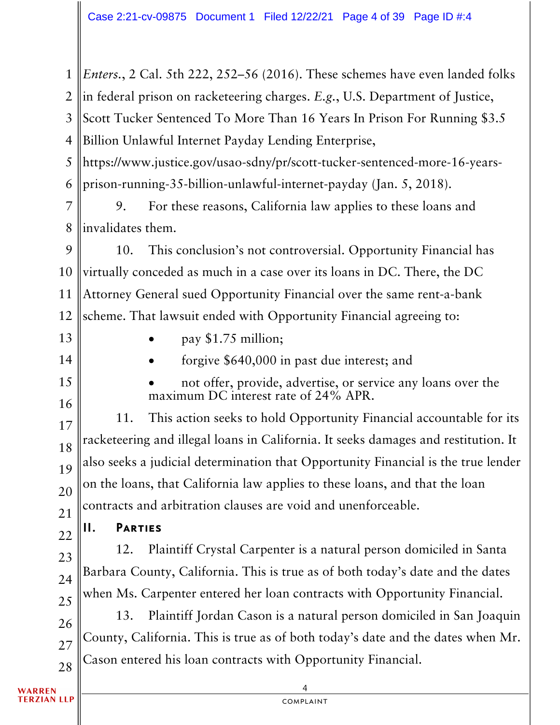4 1 2 3 4 5 6 7 8 9 10 11 12 13 14 15 16 17 18 19 20 21 22 23 24 25 26 27 28 *Enters.*, 2 Cal. 5th 222, 252–56 (2016). These schemes have even landed folks in federal prison on racketeering charges. *E.g.*, U.S. Department of Justice, Scott Tucker Sentenced To More Than 16 Years In Prison For Running \$3.5 Billion Unlawful Internet Payday Lending Enterprise, https://www.justice.gov/usao-sdny/pr/scott-tucker-sentenced-more-16-yearsprison-running-35-billion-unlawful-internet-payday (Jan. 5, 2018). 9. For these reasons, California law applies to these loans and invalidates them. 10. This conclusion's not controversial. Opportunity Financial has virtually conceded as much in a case over its loans in DC. There, the DC Attorney General sued Opportunity Financial over the same rent-a-bank scheme. That lawsuit ended with Opportunity Financial agreeing to: • pay \$1.75 million; • forgive \$640,000 in past due interest; and not offer, provide, advertise, or service any loans over the maximum DC interest rate of 24% APR. 11. This action seeks to hold Opportunity Financial accountable for its racketeering and illegal loans in California. It seeks damages and restitution. It also seeks a judicial determination that Opportunity Financial is the true lender on the loans, that California law applies to these loans, and that the loan contracts and arbitration clauses are void and unenforceable. II. Parties 12. Plaintiff Crystal Carpenter is a natural person domiciled in Santa Barbara County, California. This is true as of both today's date and the dates when Ms. Carpenter entered her loan contracts with Opportunity Financial. 13. Plaintiff Jordan Cason is a natural person domiciled in San Joaquin County, California. This is true as of both today's date and the dates when Mr. Cason entered his loan contracts with Opportunity Financial.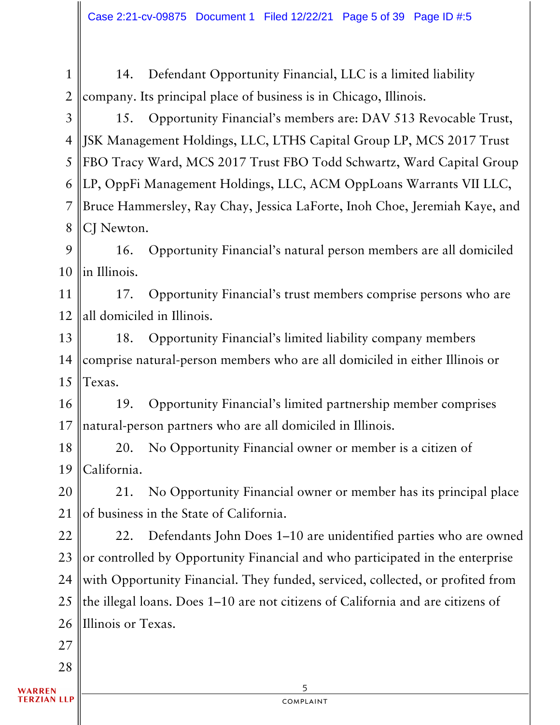1 2 14. Defendant Opportunity Financial, LLC is a limited liability company. Its principal place of business is in Chicago, Illinois.

3 4 5 6 7 8 15. Opportunity Financial's members are: DAV 513 Revocable Trust, JSK Management Holdings, LLC, LTHS Capital Group LP, MCS 2017 Trust FBO Tracy Ward, MCS 2017 Trust FBO Todd Schwartz, Ward Capital Group LP, OppFi Management Holdings, LLC, ACM OppLoans Warrants VII LLC, Bruce Hammersley, Ray Chay, Jessica LaForte, Inoh Choe, Jeremiah Kaye, and CJ Newton.

9 10 16. Opportunity Financial's natural person members are all domiciled in Illinois.

11 12 17. Opportunity Financial's trust members comprise persons who are all domiciled in Illinois.

13 14 15 18. Opportunity Financial's limited liability company members comprise natural-person members who are all domiciled in either Illinois or Texas.

16 17 19. Opportunity Financial's limited partnership member comprises natural-person partners who are all domiciled in Illinois.

18 19 20. No Opportunity Financial owner or member is a citizen of California.

20 21 21. No Opportunity Financial owner or member has its principal place of business in the State of California.

22 23 24 25 26 22. Defendants John Does 1–10 are unidentified parties who are owned or controlled by Opportunity Financial and who participated in the enterprise with Opportunity Financial. They funded, serviced, collected, or profited from the illegal loans. Does 1–10 are not citizens of California and are citizens of Illinois or Texas.

27

28

**ARREN ERZIAN LLP** 

5 complaint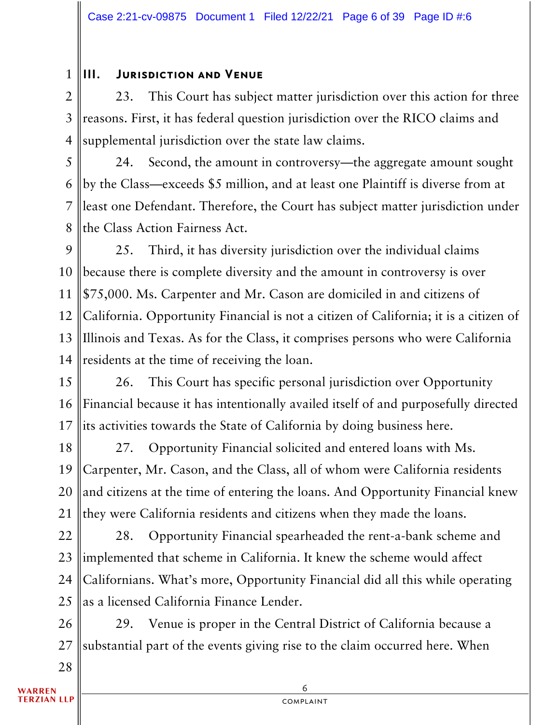#### 1 III. Jurisdiction and Venue

2 3 4 23. This Court has subject matter jurisdiction over this action for three reasons. First, it has federal question jurisdiction over the RICO claims and supplemental jurisdiction over the state law claims.

5 6 7 8 24. Second, the amount in controversy—the aggregate amount sought by the Class—exceeds \$5 million, and at least one Plaintiff is diverse from at least one Defendant. Therefore, the Court has subject matter jurisdiction under the Class Action Fairness Act.

9 10 11 12 13 14 25. Third, it has diversity jurisdiction over the individual claims because there is complete diversity and the amount in controversy is over \$75,000. Ms. Carpenter and Mr. Cason are domiciled in and citizens of California. Opportunity Financial is not a citizen of California; it is a citizen of Illinois and Texas. As for the Class, it comprises persons who were California residents at the time of receiving the loan.

15 16 17 26. This Court has specific personal jurisdiction over Opportunity Financial because it has intentionally availed itself of and purposefully directed its activities towards the State of California by doing business here.

18 19 20 21 27. Opportunity Financial solicited and entered loans with Ms. Carpenter, Mr. Cason, and the Class, all of whom were California residents and citizens at the time of entering the loans. And Opportunity Financial knew they were California residents and citizens when they made the loans.

22 23 24 25 28. Opportunity Financial spearheaded the rent-a-bank scheme and implemented that scheme in California. It knew the scheme would affect Californians. What's more, Opportunity Financial did all this while operating as a licensed California Finance Lender.

26 27 29. Venue is proper in the Central District of California because a substantial part of the events giving rise to the claim occurred here. When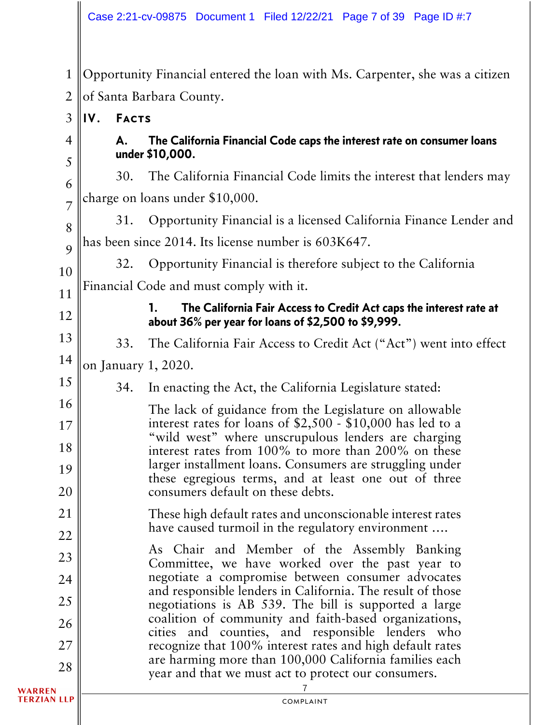1 2 Opportunity Financial entered the loan with Ms. Carpenter, she was a citizen of Santa Barbara County.

#### 3 IV. Facts

# 4 5

12

16

17

18

19

20

# A. The California Financial Code caps the interest rate on consumer loans under \$10,000.

6 7 30. The California Financial Code limits the interest that lenders may charge on loans under \$10,000.

8 9 31. Opportunity Financial is a licensed California Finance Lender and has been since 2014. Its license number is 603K647.

10 11 32. Opportunity Financial is therefore subject to the California Financial Code and must comply with it.

# 1. The California Fair Access to Credit Act caps the interest rate at about 36% per year for loans of \$2,500 to \$9,999.

13 33. The California Fair Access to Credit Act ("Act") went into effect

14 15 on January 1, 2020.

34. In enacting the Act, the California Legislature stated:

The lack of guidance from the Legislature on allowable interest rates for loans of \$2,500 - \$10,000 has led to a "wild west" where unscrupulous lenders are charging interest rates from 100% to more than 200% on these larger installment loans. Consumers are struggling under these egregious terms, and at least one out of three consumers default on these debts.

21 22 These high default rates and unconscionable interest rates have caused turmoil in the regulatory environment ….

23 24 25 26 27 28 As Chair and Member of the Assembly Banking Committee, we have worked over the past year to negotiate a compromise between consumer advocates and responsible lenders in California. The result of those negotiations is AB 539. The bill is supported a large coalition of community and faith-based organizations, cities and counties, and responsible lenders who recognize that 100% interest rates and high default rates are harming more than 100,000 California families each year and that we must act to protect our consumers.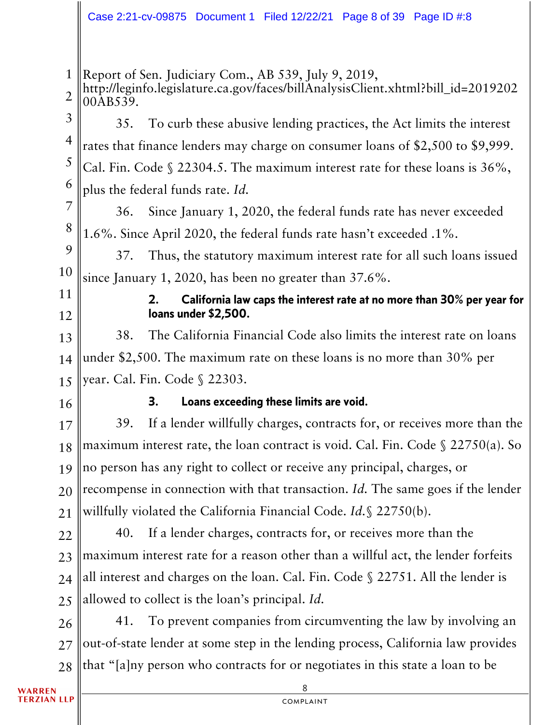#### Case 2:21-cv-09875 Document 1 Filed 12/22/21 Page 8 of 39 Page ID #:8

1 2 3 4 5 6 7 8 9 10 11 12 13 14 15 16 17 18 19 20 21 22 23 24 25 26 27 28 Report of Sen. Judiciary Com., AB 539, July 9, 2019, http://leginfo.legislature.ca.gov/faces/billAnalysisClient.xhtml?bill\_id=2019202 00AB539. 35. To curb these abusive lending practices, the Act limits the interest rates that finance lenders may charge on consumer loans of \$2,500 to \$9,999. Cal. Fin. Code § 22304.5. The maximum interest rate for these loans is 36%, plus the federal funds rate. *Id.* 36. Since January 1, 2020, the federal funds rate has never exceeded 1.6%. Since April 2020, the federal funds rate hasn't exceeded .1%. 37. Thus, the statutory maximum interest rate for all such loans issued since January 1, 2020, has been no greater than 37.6%. 2. California law caps the interest rate at no more than 30% per year for loans under \$2,500. 38. The California Financial Code also limits the interest rate on loans under \$2,500. The maximum rate on these loans is no more than 30% per year. Cal. Fin. Code § 22303. 3. Loans exceeding these limits are void. 39. If a lender willfully charges, contracts for, or receives more than the maximum interest rate, the loan contract is void. Cal. Fin. Code § 22750(a). So no person has any right to collect or receive any principal, charges, or recompense in connection with that transaction. *Id.* The same goes if the lender willfully violated the California Financial Code. *Id.*§ 22750(b). 40. If a lender charges, contracts for, or receives more than the maximum interest rate for a reason other than a willful act, the lender forfeits all interest and charges on the loan. Cal. Fin. Code § 22751. All the lender is allowed to collect is the loan's principal. *Id.* 41. To prevent companies from circumventing the law by involving an out-of-state lender at some step in the lending process, California law provides that "[a]ny person who contracts for or negotiates in this state a loan to be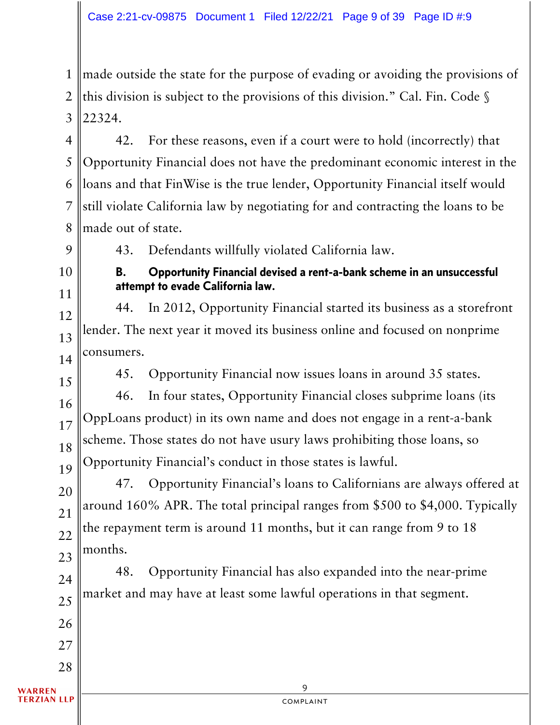1 2 3 made outside the state for the purpose of evading or avoiding the provisions of this division is subject to the provisions of this division." Cal. Fin. Code § 22324.

4 5 6 7 8 42. For these reasons, even if a court were to hold (incorrectly) that Opportunity Financial does not have the predominant economic interest in the loans and that FinWise is the true lender, Opportunity Financial itself would still violate California law by negotiating for and contracting the loans to be made out of state.

9

43. Defendants willfully violated California law.

10 11

B. Opportunity Financial devised a rent-a-bank scheme in an unsuccessful attempt to evade California law.

12 13 14 44. In 2012, Opportunity Financial started its business as a storefront lender. The next year it moved its business online and focused on nonprime consumers.

15

45. Opportunity Financial now issues loans in around 35 states.

16 17 18 19 46. In four states, Opportunity Financial closes subprime loans (its OppLoans product) in its own name and does not engage in a rent-a-bank scheme. Those states do not have usury laws prohibiting those loans, so Opportunity Financial's conduct in those states is lawful.

20 21 22 23 47. Opportunity Financial's loans to Californians are always offered at around 160% APR. The total principal ranges from \$500 to \$4,000. Typically the repayment term is around 11 months, but it can range from 9 to 18 months.

24 25 48. Opportunity Financial has also expanded into the near-prime market and may have at least some lawful operations in that segment.

26

27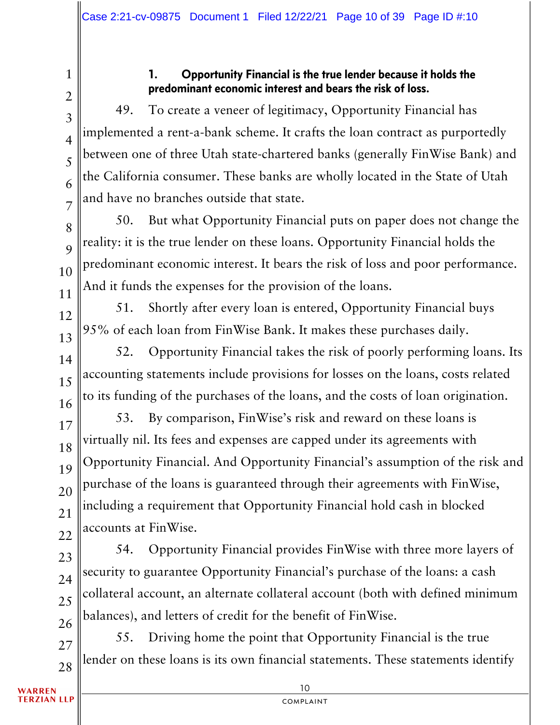2

3

4

5

6

7

8

 $\overline{Q}$ 

10

11

13

15

16

17

18

19

20

21

22

1

## 1. Opportunity Financial is the true lender because it holds the predominant economic interest and bears the risk of loss.

49. To create a veneer of legitimacy, Opportunity Financial has implemented a rent-a-bank scheme. It crafts the loan contract as purportedly between one of three Utah state-chartered banks (generally FinWise Bank) and the California consumer. These banks are wholly located in the State of Utah and have no branches outside that state.

50. But what Opportunity Financial puts on paper does not change the reality: it is the true lender on these loans. Opportunity Financial holds the predominant economic interest. It bears the risk of loss and poor performance. And it funds the expenses for the provision of the loans.

12 51. Shortly after every loan is entered, Opportunity Financial buys 95% of each loan from FinWise Bank. It makes these purchases daily.

14 52. Opportunity Financial takes the risk of poorly performing loans. Its accounting statements include provisions for losses on the loans, costs related to its funding of the purchases of the loans, and the costs of loan origination.

53. By comparison, FinWise's risk and reward on these loans is virtually nil. Its fees and expenses are capped under its agreements with Opportunity Financial. And Opportunity Financial's assumption of the risk and purchase of the loans is guaranteed through their agreements with FinWise, including a requirement that Opportunity Financial hold cash in blocked accounts at FinWise.

23 24 25 26 54. Opportunity Financial provides FinWise with three more layers of security to guarantee Opportunity Financial's purchase of the loans: a cash collateral account, an alternate collateral account (both with defined minimum balances), and letters of credit for the benefit of FinWise.

27 28 55. Driving home the point that Opportunity Financial is the true lender on these loans is its own financial statements. These statements identify

**WARREN TERZIAN LLP**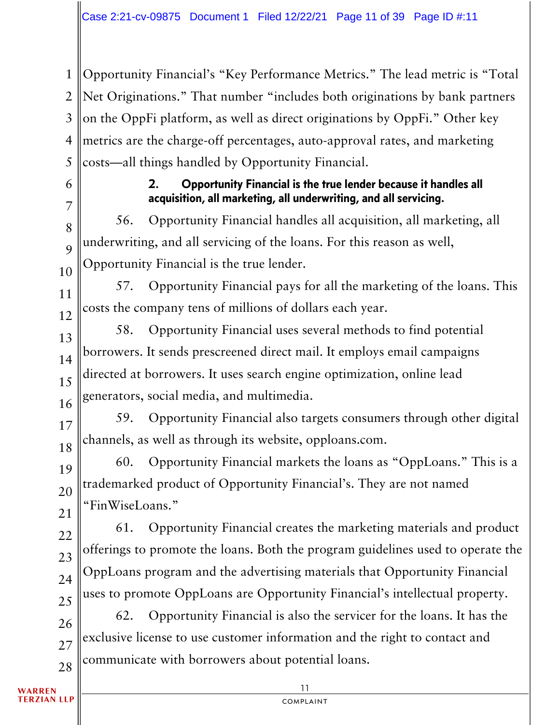1 2 3 4 5 Opportunity Financial's "Key Performance Metrics." The lead metric is "Total Net Originations." That number "includes both originations by bank partners on the OppFi platform, as well as direct originations by OppFi." Other key metrics are the charge-off percentages, auto-approval rates, and marketing costs—all things handled by Opportunity Financial.

6

7

8

9

10

## 2. Opportunity Financial is the true lender because it handles all acquisition, all marketing, all underwriting, and all servicing.

56. Opportunity Financial handles all acquisition, all marketing, all underwriting, and all servicing of the loans. For this reason as well, Opportunity Financial is the true lender.

11 12 57. Opportunity Financial pays for all the marketing of the loans. This costs the company tens of millions of dollars each year.

13 14 15 16 58. Opportunity Financial uses several methods to find potential borrowers. It sends prescreened direct mail. It employs email campaigns directed at borrowers. It uses search engine optimization, online lead generators, social media, and multimedia.

17 18 59. Opportunity Financial also targets consumers through other digital channels, as well as through its website, opploans.com.

19 20 21 60. Opportunity Financial markets the loans as "OppLoans." This is a trademarked product of Opportunity Financial's. They are not named "FinWiseLoans."

61. Opportunity Financial creates the marketing materials and product offerings to promote the loans. Both the program guidelines used to operate the OppLoans program and the advertising materials that Opportunity Financial uses to promote OppLoans are Opportunity Financial's intellectual property.

26 27 28 62. Opportunity Financial is also the servicer for the loans. It has the exclusive license to use customer information and the right to contact and communicate with borrowers about potential loans.

**WARREN TERZIAN LLP** 

22

23

24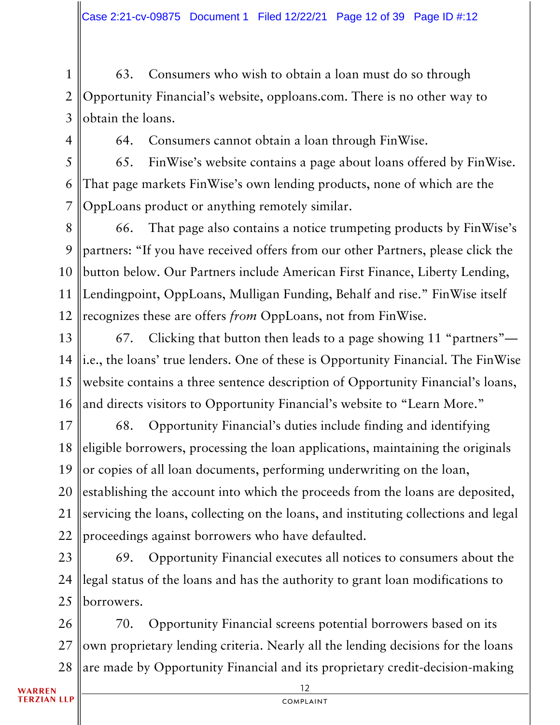1 2 3 63. Consumers who wish to obtain a loan must do so through Opportunity Financial's website, opploans.com. There is no other way to obtain the loans.

4

64. Consumers cannot obtain a loan through FinWise.

5 6 7 65. FinWise's website contains a page about loans offered by FinWise. That page markets FinWise's own lending products, none of which are the OppLoans product or anything remotely similar.

8 9 10 11 12 66. That page also contains a notice trumpeting products by FinWise's partners: "If you have received offers from our other Partners, please click the button below. Our Partners include American First Finance, Liberty Lending, Lendingpoint, OppLoans, Mulligan Funding, Behalf and rise." FinWise itself recognizes these are offers *from* OppLoans, not from FinWise.

13 14 15 16 67. Clicking that button then leads to a page showing 11 "partners" i.e., the loans' true lenders. One of these is Opportunity Financial. The FinWise website contains a three sentence description of Opportunity Financial's loans, and directs visitors to Opportunity Financial's website to "Learn More."

17 18 19 20 21 22 68. Opportunity Financial's duties include finding and identifying eligible borrowers, processing the loan applications, maintaining the originals or copies of all loan documents, performing underwriting on the loan, establishing the account into which the proceeds from the loans are deposited, servicing the loans, collecting on the loans, and instituting collections and legal proceedings against borrowers who have defaulted.

23 24 25 69. Opportunity Financial executes all notices to consumers about the legal status of the loans and has the authority to grant loan modifications to borrowers.

26 27 28 70. Opportunity Financial screens potential borrowers based on its own proprietary lending criteria. Nearly all the lending decisions for the loans are made by Opportunity Financial and its proprietary credit-decision-making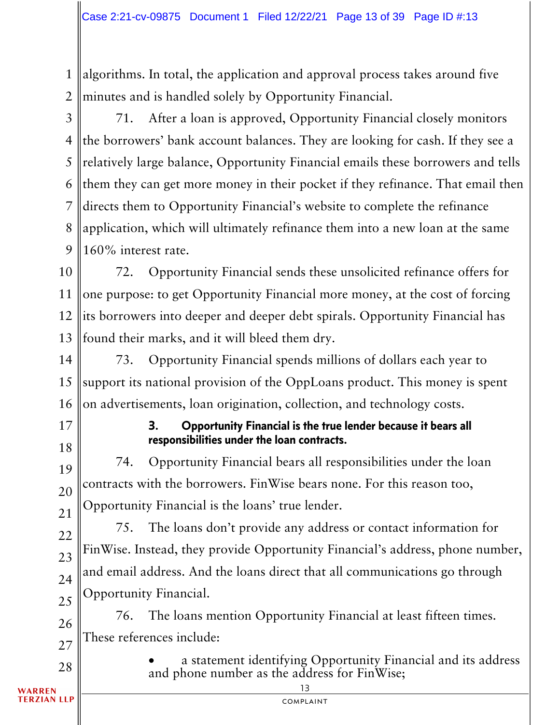1 2 algorithms. In total, the application and approval process takes around five minutes and is handled solely by Opportunity Financial.

3 4 5 6 7 8 9 71. After a loan is approved, Opportunity Financial closely monitors the borrowers' bank account balances. They are looking for cash. If they see a relatively large balance, Opportunity Financial emails these borrowers and tells them they can get more money in their pocket if they refinance. That email then directs them to Opportunity Financial's website to complete the refinance application, which will ultimately refinance them into a new loan at the same 160% interest rate.

10 11 12 13 72. Opportunity Financial sends these unsolicited refinance offers for one purpose: to get Opportunity Financial more money, at the cost of forcing its borrowers into deeper and deeper debt spirals. Opportunity Financial has found their marks, and it will bleed them dry.

14 15 16 73. Opportunity Financial spends millions of dollars each year to support its national provision of the OppLoans product. This money is spent on advertisements, loan origination, collection, and technology costs.

17 18

22

23

24

25

28

## 3. Opportunity Financial is the true lender because it bears all responsibilities under the loan contracts.

19 20 21 74. Opportunity Financial bears all responsibilities under the loan contracts with the borrowers. FinWise bears none. For this reason too, Opportunity Financial is the loans' true lender.

75. The loans don't provide any address or contact information for FinWise. Instead, they provide Opportunity Financial's address, phone number, and email address. And the loans direct that all communications go through Opportunity Financial.

26 27 76. The loans mention Opportunity Financial at least fifteen times. These references include:

> • a statement identifying Opportunity Financial and its address and phone number as the address for FinWise;

WARREN **TERZIAN LLP** 

13 complaint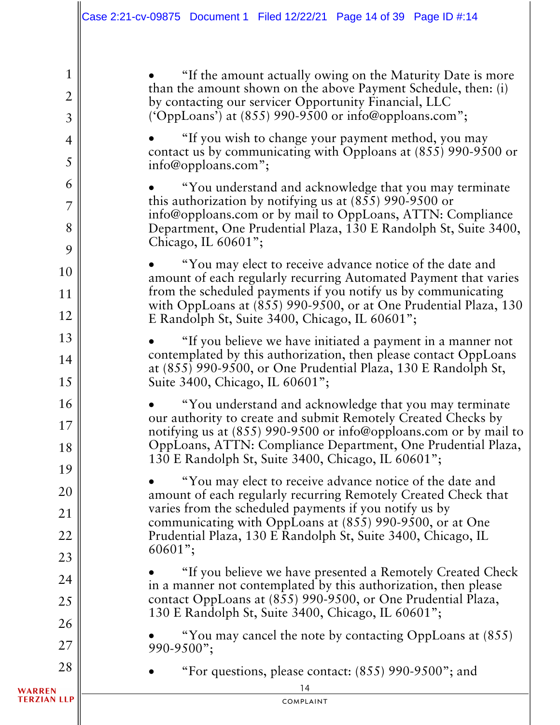• "If the amount actually owing on the Maturity Date is more than the amount shown on the above Payment Schedule, then: (i) by contacting our servicer Opportunity Financial, LLC ('OppLoans') at (855) 990-9500 or info@opploans.com";

• "If you wish to change your payment method, you may contact us by communicating with Opploans at (855) 990-9500 or info@opploans.com";

• "You understand and acknowledge that you may terminate this authorization by notifying us at (855) 990-9500 or info@opploans.com or by mail to OppLoans, ATTN: Compliance Department, One Prudential Plaza, 130 E Randolph St, Suite 3400, Chicago, IL 60601";

• "You may elect to receive advance notice of the date and amount of each regularly recurring Automated Payment that varies from the scheduled payments if you notify us by communicating with OppLoans at (855) 990-9500, or at One Prudential Plaza, 130 E Randolph St, Suite 3400, Chicago, IL 60601";

• "If you believe we have initiated a payment in a manner not contemplated by this authorization, then please contact OppLoans at (855) 990-9500, or One Prudential Plaza, 130 E Randolph St, Suite 3400, Chicago, IL 60601";

• "You understand and acknowledge that you may terminate our authority to create and submit Remotely Created Checks by notifying us at (855) 990-9500 or info@opploans.com or by mail to OppLoans, ATTN: Compliance Department, One Prudential Plaza, 130 E Randolph St, Suite 3400, Chicago, IL 60601";

• "You may elect to receive advance notice of the date and amount of each regularly recurring Remotely Created Check that varies from the scheduled payments if you notify us by communicating with OppLoans at (855) 990-9500, or at One Prudential Plaza, 130 E Randolph St, Suite 3400, Chicago, IL 60601";

• "If you believe we have presented a Remotely Created Check in a manner not contemplated by this authorization, then please contact OppLoans at (855) 990-9500, or One Prudential Plaza, 130 E Randolph St, Suite 3400, Chicago, IL 60601";

• "You may cancel the note by contacting OppLoans at (855) 990-9500";

• "For questions, please contact: (855) 990-9500"; and

**WARREN TERZIAN LLP** 

1

2

3

4

5

6

7

8

9

10

11

12

13

14

15

16

17

18

19

20

21

22

23

24

25

26

27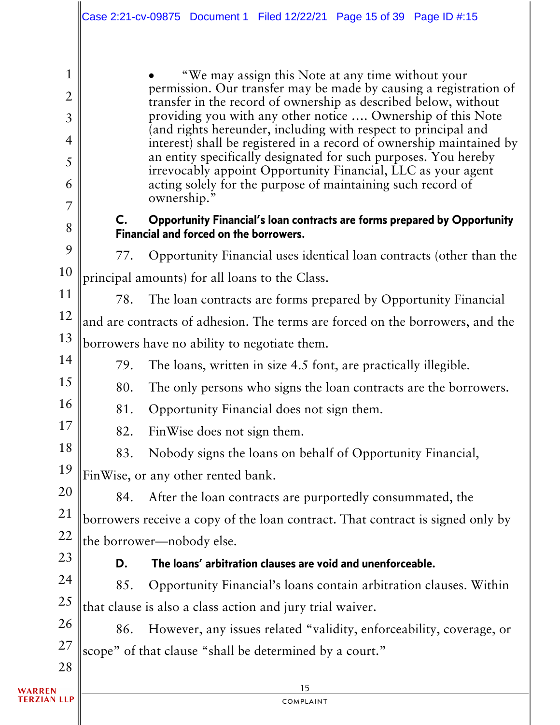|                     |                                                           | Case 2:21-cv-09875 Document 1 Filed 12/22/21 Page 15 of 39 Page ID #:15                                                                                                                   |  |  |
|---------------------|-----------------------------------------------------------|-------------------------------------------------------------------------------------------------------------------------------------------------------------------------------------------|--|--|
| 1<br>$\overline{2}$ |                                                           | "We may assign this Note at any time without your<br>permission. Our transfer may be made by causing a registration of<br>transfer in the record of ownership as described below, without |  |  |
| $\overline{3}$      |                                                           | providing you with any other notice  Ownership of this Note<br>(and rights hereunder, including with respect to principal and                                                             |  |  |
| $\overline{4}$      |                                                           | interest) shall be registered in a record of ownership maintained by<br>an entity specifically designated for such purposes. You hereby                                                   |  |  |
| 5<br>6              |                                                           | irrevocably appoint Opportunity Financial, LLC as your agent<br>acting solely for the purpose of maintaining such record of                                                               |  |  |
| 7                   | $\mathsf{C}$ .                                            | ownership."<br><b>Opportunity Financial's loan contracts are forms prepared by Opportunity</b>                                                                                            |  |  |
| 8                   |                                                           | Financial and forced on the borrowers.                                                                                                                                                    |  |  |
| 9                   | 77.                                                       | Opportunity Financial uses identical loan contracts (other than the                                                                                                                       |  |  |
| 10                  | principal amounts) for all loans to the Class.            |                                                                                                                                                                                           |  |  |
| 11                  | 78.                                                       | The loan contracts are forms prepared by Opportunity Financial                                                                                                                            |  |  |
| 12                  |                                                           | and are contracts of adhesion. The terms are forced on the borrowers, and the                                                                                                             |  |  |
| 13                  |                                                           | borrowers have no ability to negotiate them.                                                                                                                                              |  |  |
| 14                  | 79.                                                       | The loans, written in size 4.5 font, are practically illegible.                                                                                                                           |  |  |
| 15                  | 80.                                                       | The only persons who signs the loan contracts are the borrowers.                                                                                                                          |  |  |
| 16                  | 81.                                                       | Opportunity Financial does not sign them.                                                                                                                                                 |  |  |
| 17                  | 82.                                                       | FinWise does not sign them.                                                                                                                                                               |  |  |
| 18                  | 83.                                                       | Nobody signs the loans on behalf of Opportunity Financial,                                                                                                                                |  |  |
| 19                  | FinWise, or any other rented bank.                        |                                                                                                                                                                                           |  |  |
| 20                  | 84.                                                       | After the loan contracts are purportedly consummated, the                                                                                                                                 |  |  |
| 21                  |                                                           | borrowers receive a copy of the loan contract. That contract is signed only by                                                                                                            |  |  |
| 22                  | the borrower—nobody else.                                 |                                                                                                                                                                                           |  |  |
| 23                  | D.                                                        | The loans' arbitration clauses are void and unenforceable.                                                                                                                                |  |  |
| 24                  | 85.                                                       | Opportunity Financial's loans contain arbitration clauses. Within                                                                                                                         |  |  |
| 25                  | that clause is also a class action and jury trial waiver. |                                                                                                                                                                                           |  |  |
| 26                  | 86.                                                       | However, any issues related "validity, enforceability, coverage, or                                                                                                                       |  |  |
| 27                  | scope" of that clause "shall be determined by a court."   |                                                                                                                                                                                           |  |  |
| 28                  |                                                           |                                                                                                                                                                                           |  |  |
|                     |                                                           | 15                                                                                                                                                                                        |  |  |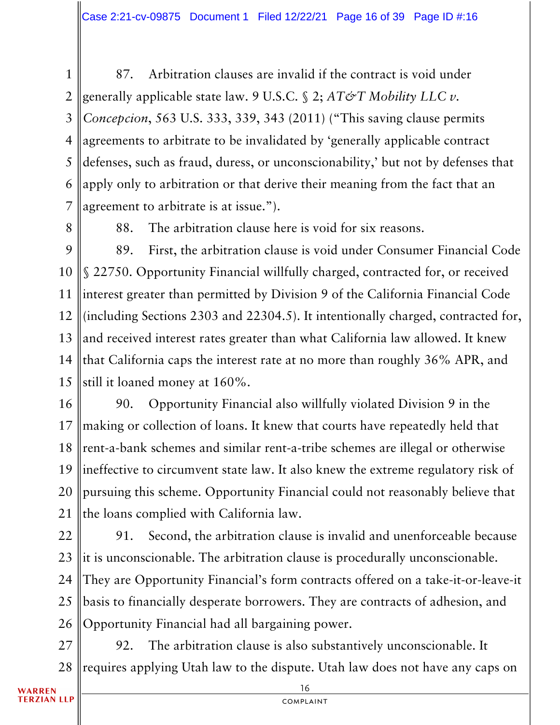1 2 3 4 5 6 7 87. Arbitration clauses are invalid if the contract is void under generally applicable state law. 9 U.S.C. § 2; *AT&T Mobility LLC v. Concepcion*, 563 U.S. 333, 339, 343 (2011) ("This saving clause permits agreements to arbitrate to be invalidated by 'generally applicable contract defenses, such as fraud, duress, or unconscionability,' but not by defenses that apply only to arbitration or that derive their meaning from the fact that an agreement to arbitrate is at issue.").

8

88. The arbitration clause here is void for six reasons.

9 10 11 12 13 14 15 89. First, the arbitration clause is void under Consumer Financial Code § 22750. Opportunity Financial willfully charged, contracted for, or received interest greater than permitted by Division 9 of the California Financial Code (including Sections 2303 and 22304.5). It intentionally charged, contracted for, and received interest rates greater than what California law allowed. It knew that California caps the interest rate at no more than roughly 36% APR, and still it loaned money at 160%.

16 17 18 19 20 21 90. Opportunity Financial also willfully violated Division 9 in the making or collection of loans. It knew that courts have repeatedly held that rent-a-bank schemes and similar rent-a-tribe schemes are illegal or otherwise ineffective to circumvent state law. It also knew the extreme regulatory risk of pursuing this scheme. Opportunity Financial could not reasonably believe that the loans complied with California law.

22 23 24 25 26 91. Second, the arbitration clause is invalid and unenforceable because it is unconscionable. The arbitration clause is procedurally unconscionable. They are Opportunity Financial's form contracts offered on a take-it-or-leave-it basis to financially desperate borrowers. They are contracts of adhesion, and Opportunity Financial had all bargaining power.

27 28 92. The arbitration clause is also substantively unconscionable. It requires applying Utah law to the dispute. Utah law does not have any caps on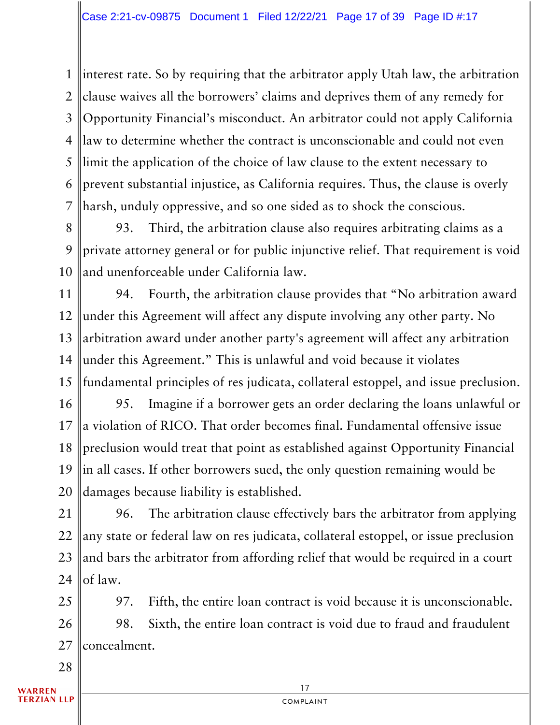1 2 3 4 5 6 7 interest rate. So by requiring that the arbitrator apply Utah law, the arbitration clause waives all the borrowers' claims and deprives them of any remedy for Opportunity Financial's misconduct. An arbitrator could not apply California law to determine whether the contract is unconscionable and could not even limit the application of the choice of law clause to the extent necessary to prevent substantial injustice, as California requires. Thus, the clause is overly harsh, unduly oppressive, and so one sided as to shock the conscious.

8 9 10 93. Third, the arbitration clause also requires arbitrating claims as a private attorney general or for public injunctive relief. That requirement is void and unenforceable under California law.

11 12 13 14 15 94. Fourth, the arbitration clause provides that "No arbitration award under this Agreement will affect any dispute involving any other party. No arbitration award under another party's agreement will affect any arbitration under this Agreement." This is unlawful and void because it violates fundamental principles of res judicata, collateral estoppel, and issue preclusion.

16 17 18 19 20 95. Imagine if a borrower gets an order declaring the loans unlawful or a violation of RICO. That order becomes final. Fundamental offensive issue preclusion would treat that point as established against Opportunity Financial in all cases. If other borrowers sued, the only question remaining would be damages because liability is established.

21 22 23 24 96. The arbitration clause effectively bars the arbitrator from applying any state or federal law on res judicata, collateral estoppel, or issue preclusion and bars the arbitrator from affording relief that would be required in a court of law.

25 26 27 97. Fifth, the entire loan contract is void because it is unconscionable. 98. Sixth, the entire loan contract is void due to fraud and fraudulent concealment.

**/ARREN**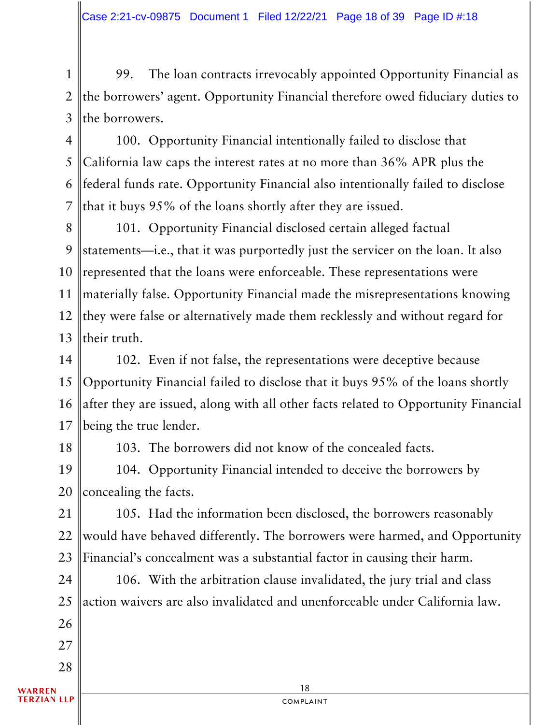1 2 3 99. The loan contracts irrevocably appointed Opportunity Financial as the borrowers' agent. Opportunity Financial therefore owed fiduciary duties to the borrowers.

4 5 6 7 100. Opportunity Financial intentionally failed to disclose that California law caps the interest rates at no more than 36% APR plus the federal funds rate. Opportunity Financial also intentionally failed to disclose that it buys 95% of the loans shortly after they are issued.

8 9 10 11 12 13 101. Opportunity Financial disclosed certain alleged factual statements—i.e., that it was purportedly just the servicer on the loan. It also represented that the loans were enforceable. These representations were materially false. Opportunity Financial made the misrepresentations knowing they were false or alternatively made them recklessly and without regard for their truth.

14 15 16 17 102. Even if not false, the representations were deceptive because Opportunity Financial failed to disclose that it buys 95% of the loans shortly after they are issued, along with all other facts related to Opportunity Financial being the true lender.

18

27

28

103. The borrowers did not know of the concealed facts.

19 20 104. Opportunity Financial intended to deceive the borrowers by concealing the facts.

21 22 23 105. Had the information been disclosed, the borrowers reasonably would have behaved differently. The borrowers were harmed, and Opportunity Financial's concealment was a substantial factor in causing their harm.

24 25 26 106. With the arbitration clause invalidated, the jury trial and class action waivers are also invalidated and unenforceable under California law.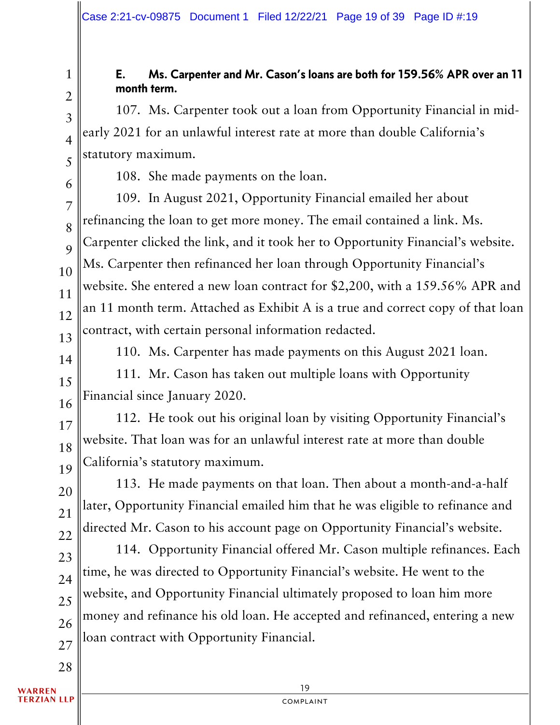## E. Ms. Carpenter and Mr. Cason's loans are both for 159.56% APR over an 11 month term.

107. Ms. Carpenter took out a loan from Opportunity Financial in midearly 2021 for an unlawful interest rate at more than double California's statutory maximum.

108. She made payments on the loan.

109. In August 2021, Opportunity Financial emailed her about refinancing the loan to get more money. The email contained a link. Ms. Carpenter clicked the link, and it took her to Opportunity Financial's website. Ms. Carpenter then refinanced her loan through Opportunity Financial's website. She entered a new loan contract for \$2,200, with a 159.56% APR and an 11 month term. Attached as Exhibit A is a true and correct copy of that loan contract, with certain personal information redacted.

14

15

16

13

1

2

3

4

5

6

7

8

9

10

11

12

110. Ms. Carpenter has made payments on this August 2021 loan.

111. Mr. Cason has taken out multiple loans with Opportunity Financial since January 2020.

17 18 19 112. He took out his original loan by visiting Opportunity Financial's website. That loan was for an unlawful interest rate at more than double California's statutory maximum.

20 21 22 113. He made payments on that loan. Then about a month-and-a-half later, Opportunity Financial emailed him that he was eligible to refinance and directed Mr. Cason to his account page on Opportunity Financial's website.

23 24 25 26 27 114. Opportunity Financial offered Mr. Cason multiple refinances. Each time, he was directed to Opportunity Financial's website. He went to the website, and Opportunity Financial ultimately proposed to loan him more money and refinance his old loan. He accepted and refinanced, entering a new loan contract with Opportunity Financial.

WARREN **TERZIAN LLP**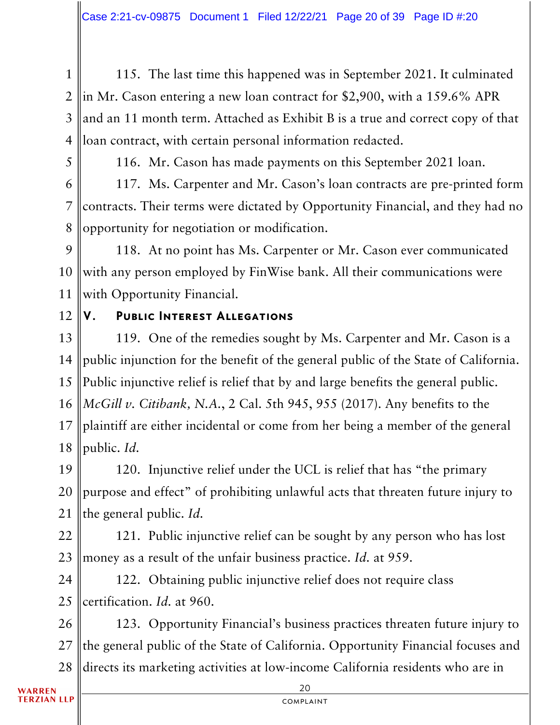1 2 3 4 115. The last time this happened was in September 2021. It culminated in Mr. Cason entering a new loan contract for \$2,900, with a 159.6% APR and an 11 month term. Attached as Exhibit B is a true and correct copy of that loan contract, with certain personal information redacted.

5

116. Mr. Cason has made payments on this September 2021 loan.

6 7 8 117. Ms. Carpenter and Mr. Cason's loan contracts are pre-printed form contracts. Their terms were dictated by Opportunity Financial, and they had no opportunity for negotiation or modification.

9 10 11 118. At no point has Ms. Carpenter or Mr. Cason ever communicated with any person employed by FinWise bank. All their communications were with Opportunity Financial.

12

#### V. Public Interest Allegations

13 14 15 16 17 18 119. One of the remedies sought by Ms. Carpenter and Mr. Cason is a public injunction for the benefit of the general public of the State of California. Public injunctive relief is relief that by and large benefits the general public. *McGill v. Citibank, N.A.*, 2 Cal. 5th 945, 955 (2017). Any benefits to the plaintiff are either incidental or come from her being a member of the general public. *Id.*

19 20 21 120. Injunctive relief under the UCL is relief that has "the primary purpose and effect" of prohibiting unlawful acts that threaten future injury to the general public. *Id.*

22 23 121. Public injunctive relief can be sought by any person who has lost money as a result of the unfair business practice. *Id.* at 959.

24 25 122. Obtaining public injunctive relief does not require class certification. *Id.* at 960.

26 27 28 123. Opportunity Financial's business practices threaten future injury to the general public of the State of California. Opportunity Financial focuses and directs its marketing activities at low-income California residents who are in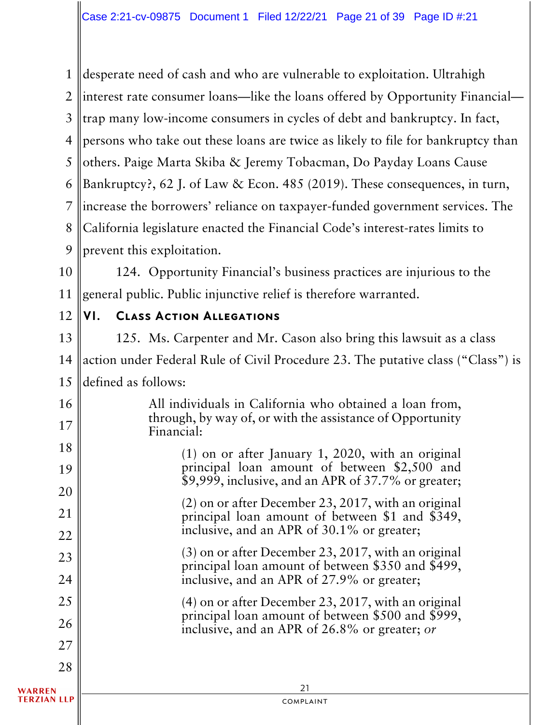1 2 3 4 5 6 7 8 9 desperate need of cash and who are vulnerable to exploitation. Ultrahigh interest rate consumer loans—like the loans offered by Opportunity Financial trap many low-income consumers in cycles of debt and bankruptcy. In fact, persons who take out these loans are twice as likely to file for bankruptcy than others. Paige Marta Skiba & Jeremy Tobacman, Do Payday Loans Cause Bankruptcy?, 62 J. of Law & Econ. 485 (2019). These consequences, in turn, increase the borrowers' reliance on taxpayer-funded government services. The California legislature enacted the Financial Code's interest-rates limits to prevent this exploitation.

10 11 124. Opportunity Financial's business practices are injurious to the general public. Public injunctive relief is therefore warranted.

12

16

17

 $10<sup>1</sup>$ 

### VI. Class Action Allegations

13 14 15 125. Ms. Carpenter and Mr. Cason also bring this lawsuit as a class action under Federal Rule of Civil Procedure 23. The putative class ("Class") is defined as follows:

> All individuals in California who obtained a loan from, through, by way of, or with the assistance of Opportunity Financial:

| 10     | $(1)$ on or after January 1, 2020, with an original                                                        |
|--------|------------------------------------------------------------------------------------------------------------|
| 19     | principal loan amount of between \$2,500 and<br>\$9,999, inclusive, and an APR of 37.7% or greater;        |
| 20     | $(2)$ on or after December 23, 2017, with an original                                                      |
| 21     | principal loan amount of between \$1 and \$349,                                                            |
| 22     | inclusive, and an APR of 30.1% or greater;                                                                 |
| 23     | $(3)$ on or after December 23, 2017, with an original<br>principal loan amount of between \$350 and \$499, |
| 24     | inclusive, and an APR of 27.9% or greater;                                                                 |
| 25     | $(4)$ on or after December 23, 2017, with an original                                                      |
| 26     | principal loan amount of between \$500 and \$999,<br>inclusive, and an APR of 26.8% or greater; or         |
| 27     |                                                                                                            |
| 28     |                                                                                                            |
| WARREN | 21                                                                                                         |

#### **TERZIAN LLP**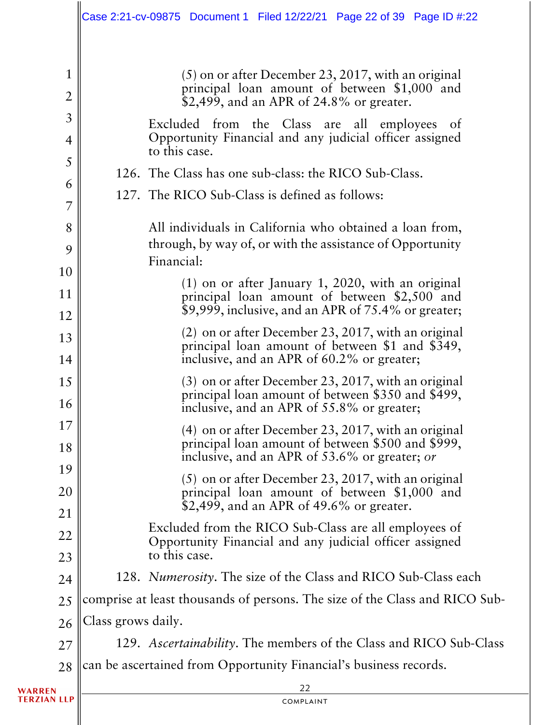|                                  |                    | Case 2:21-cv-09875 Document 1 Filed 12/22/21 Page 22 of 39 Page ID #:22                                                                                  |
|----------------------------------|--------------------|----------------------------------------------------------------------------------------------------------------------------------------------------------|
| $\mathbf{1}$                     |                    | $(5)$ on or after December 23, 2017, with an original<br>principal loan amount of between \$1,000 and                                                    |
| $\overline{2}$                   |                    | \$2,499, and an APR of 24.8% or greater.                                                                                                                 |
| $\mathfrak{Z}$<br>$\overline{4}$ |                    | Excluded from the Class are all employees of<br>Opportunity Financial and any judicial officer assigned<br>to this case.                                 |
| 5                                |                    | 126. The Class has one sub-class: the RICO Sub-Class.                                                                                                    |
| 6<br>7                           |                    | 127. The RICO Sub-Class is defined as follows:                                                                                                           |
| 8                                |                    | All individuals in California who obtained a loan from,                                                                                                  |
| 9                                |                    | through, by way of, or with the assistance of Opportunity<br>Financial:                                                                                  |
| 10                               |                    | $(1)$ on or after January 1, 2020, with an original                                                                                                      |
| 11<br>12                         |                    | principal loan amount of between \$2,500 and<br>\$9,999, inclusive, and an APR of 75.4% or greater;                                                      |
| 13                               |                    | $(2)$ on or after December 23, 2017, with an original                                                                                                    |
| 14                               |                    | principal loan amount of between \$1 and \$349,<br>inclusive, and an APR of 60.2% or greater;                                                            |
| 15<br>16                         |                    | $(3)$ on or after December 23, 2017, with an original<br>principal loan amount of between \$350 and \$499,<br>inclusive, and an APR of 55.8% or greater; |
| 17                               |                    | $(4)$ on or after December 23, 2017, with an original                                                                                                    |
| 18                               |                    | principal loan amount of between \$500 and \$999,<br>inclusive, and an APR of 53.6% or greater; or                                                       |
| 19<br>20                         |                    | $(5)$ on or after December 23, 2017, with an original<br>principal loan amount of between \$1,000 and                                                    |
| 21                               |                    | \$2,499, and an APR of 49.6% or greater.                                                                                                                 |
| 22                               |                    | Excluded from the RICO Sub-Class are all employees of<br>Opportunity Financial and any judicial officer assigned                                         |
| 23                               |                    | to this case.                                                                                                                                            |
| 24                               |                    | 128. Numerosity. The size of the Class and RICO Sub-Class each                                                                                           |
| 25                               |                    | comprise at least thousands of persons. The size of the Class and RICO Sub-                                                                              |
| 26                               | Class grows daily. |                                                                                                                                                          |
| 27                               |                    | 129. Ascertainability. The members of the Class and RICO Sub-Class                                                                                       |
| 28                               |                    | can be ascertained from Opportunity Financial's business records.                                                                                        |
|                                  |                    | 22                                                                                                                                                       |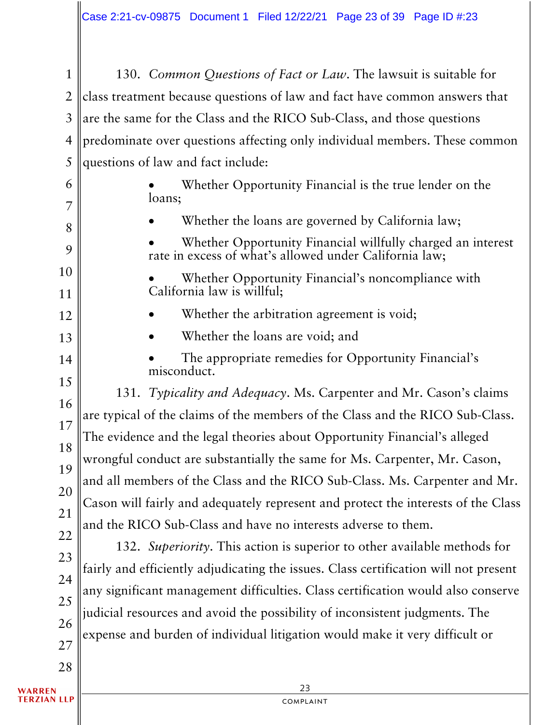1 2 3 4 5 130. *Common Questions of Fact or Law*. The lawsuit is suitable for class treatment because questions of law and fact have common answers that are the same for the Class and the RICO Sub-Class, and those questions predominate over questions affecting only individual members. These common questions of law and fact include:

- Whether Opportunity Financial is the true lender on the loans;
	- Whether the loans are governed by California law;

Whether Opportunity Financial willfully charged an interest rate in excess of what's allowed under California law;

Whether Opportunity Financial's noncompliance with California law is willful;

- Whether the arbitration agreement is void;
- Whether the loans are void; and
- The appropriate remedies for Opportunity Financial's misconduct.

16 18 19 20 21 22 131. *Typicality and Adequacy*. Ms. Carpenter and Mr. Cason's claims are typical of the claims of the members of the Class and the RICO Sub-Class. The evidence and the legal theories about Opportunity Financial's alleged wrongful conduct are substantially the same for Ms. Carpenter, Mr. Cason, and all members of the Class and the RICO Sub-Class. Ms. Carpenter and Mr. Cason will fairly and adequately represent and protect the interests of the Class and the RICO Sub-Class and have no interests adverse to them.

23 24 132. *Superiority*. This action is superior to other available methods for fairly and efficiently adjudicating the issues. Class certification will not present any significant management difficulties. Class certification would also conserve judicial resources and avoid the possibility of inconsistent judgments. The expense and burden of individual litigation would make it very difficult or

6

7

8

9

10

11

12

13

14

15

17

25

26

27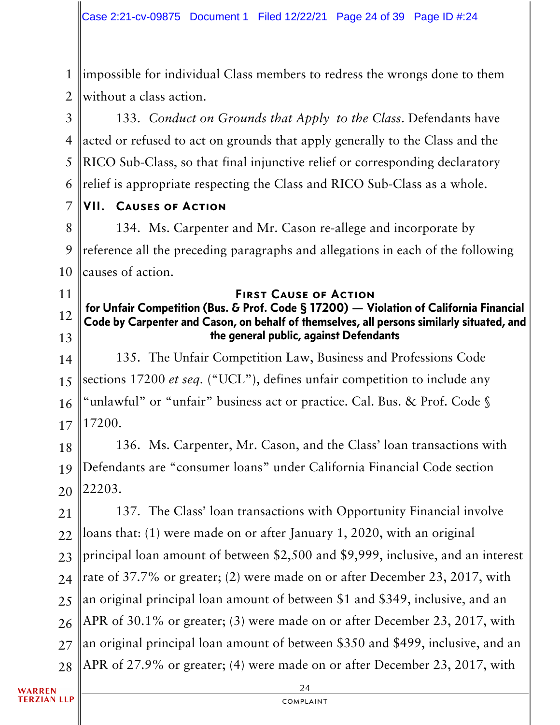1 2 impossible for individual Class members to redress the wrongs done to them without a class action.

3 4 5 6 133. *Conduct on Grounds that Apply to the Class*. Defendants have acted or refused to act on grounds that apply generally to the Class and the RICO Sub-Class, so that final injunctive relief or corresponding declaratory relief is appropriate respecting the Class and RICO Sub-Class as a whole.

#### 7 VII. Causes of Action

11

8 9 10 134. Ms. Carpenter and Mr. Cason re-allege and incorporate by reference all the preceding paragraphs and allegations in each of the following causes of action.

### First Cause of Action

#### 12 13 for Unfair Competition (Bus. & Prof. Code § 17200) — Violation of California Financial Code by Carpenter and Cason, on behalf of themselves, all persons similarly situated, and the general public, against Defendants

14 15 16 17 135. The Unfair Competition Law, Business and Professions Code sections 17200 *et seq.* ("UCL"), defines unfair competition to include any "unlawful" or "unfair" business act or practice. Cal. Bus. & Prof. Code § 17200.

18 19 20 136. Ms. Carpenter, Mr. Cason, and the Class' loan transactions with Defendants are "consumer loans" under California Financial Code section 22203.

21 22 23 24 25 26 27 28 137. The Class' loan transactions with Opportunity Financial involve loans that: (1) were made on or after January 1, 2020, with an original principal loan amount of between \$2,500 and \$9,999, inclusive, and an interest rate of 37.7% or greater; (2) were made on or after December 23, 2017, with an original principal loan amount of between \$1 and \$349, inclusive, and an APR of 30.1% or greater; (3) were made on or after December 23, 2017, with an original principal loan amount of between \$350 and \$499, inclusive, and an APR of 27.9% or greater; (4) were made on or after December 23, 2017, with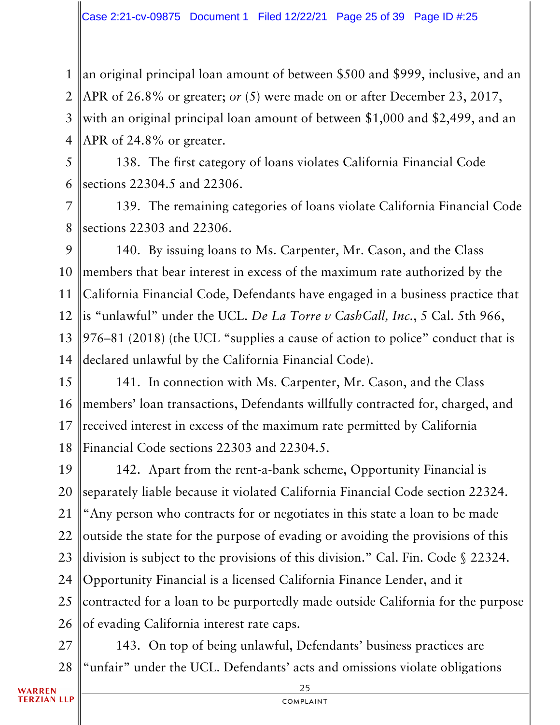1 2 3 4 an original principal loan amount of between \$500 and \$999, inclusive, and an APR of 26.8% or greater; *or* (5) were made on or after December 23, 2017, with an original principal loan amount of between \$1,000 and \$2,499, and an APR of 24.8% or greater.

5 6 138. The first category of loans violates California Financial Code sections 22304.5 and 22306.

7 8 139. The remaining categories of loans violate California Financial Code sections 22303 and 22306.

9 10 11 12 13 14 140. By issuing loans to Ms. Carpenter, Mr. Cason, and the Class members that bear interest in excess of the maximum rate authorized by the California Financial Code, Defendants have engaged in a business practice that is "unlawful" under the UCL. *De La Torre v CashCall, Inc.*, 5 Cal. 5th 966, 976–81 (2018) (the UCL "supplies a cause of action to police" conduct that is declared unlawful by the California Financial Code).

15 16 17 18 141. In connection with Ms. Carpenter, Mr. Cason, and the Class members' loan transactions, Defendants willfully contracted for, charged, and received interest in excess of the maximum rate permitted by California Financial Code sections 22303 and 22304.5.

19 20 21 22 23 24 25 26 142. Apart from the rent-a-bank scheme, Opportunity Financial is separately liable because it violated California Financial Code section 22324. "Any person who contracts for or negotiates in this state a loan to be made outside the state for the purpose of evading or avoiding the provisions of this division is subject to the provisions of this division." Cal. Fin. Code § 22324. Opportunity Financial is a licensed California Finance Lender, and it contracted for a loan to be purportedly made outside California for the purpose of evading California interest rate caps.

27 28 143. On top of being unlawful, Defendants' business practices are "unfair" under the UCL. Defendants' acts and omissions violate obligations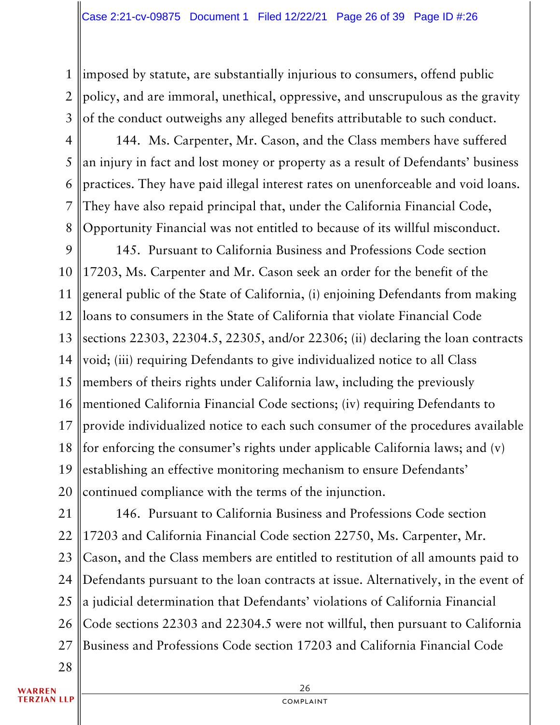1 2 3 imposed by statute, are substantially injurious to consumers, offend public policy, and are immoral, unethical, oppressive, and unscrupulous as the gravity of the conduct outweighs any alleged benefits attributable to such conduct.

4 5 6 7 8 144. Ms. Carpenter, Mr. Cason, and the Class members have suffered an injury in fact and lost money or property as a result of Defendants' business practices. They have paid illegal interest rates on unenforceable and void loans. They have also repaid principal that, under the California Financial Code, Opportunity Financial was not entitled to because of its willful misconduct.

9 10 11 12 13 14 15 16 17 18 19 20 145. Pursuant to California Business and Professions Code section 17203, Ms. Carpenter and Mr. Cason seek an order for the benefit of the general public of the State of California, (i) enjoining Defendants from making loans to consumers in the State of California that violate Financial Code sections 22303, 22304.5, 22305, and/or 22306; (ii) declaring the loan contracts void; (iii) requiring Defendants to give individualized notice to all Class members of theirs rights under California law, including the previously mentioned California Financial Code sections; (iv) requiring Defendants to provide individualized notice to each such consumer of the procedures available for enforcing the consumer's rights under applicable California laws; and (v) establishing an effective monitoring mechanism to ensure Defendants' continued compliance with the terms of the injunction.

21 22 23 24 25 26 27 146. Pursuant to California Business and Professions Code section 17203 and California Financial Code section 22750, Ms. Carpenter, Mr. Cason, and the Class members are entitled to restitution of all amounts paid to Defendants pursuant to the loan contracts at issue. Alternatively, in the event of a judicial determination that Defendants' violations of California Financial Code sections 22303 and 22304.5 were not willful, then pursuant to California Business and Professions Code section 17203 and California Financial Code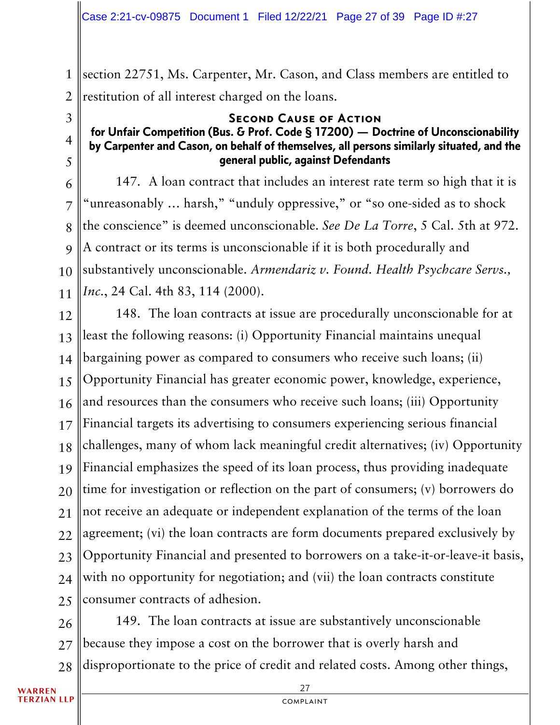1 2 section 22751, Ms. Carpenter, Mr. Cason, and Class members are entitled to restitution of all interest charged on the loans.

#### Second Cause of Action

### for Unfair Competition (Bus. & Prof. Code § 17200) — Doctrine of Unconscionability by Carpenter and Cason, on behalf of themselves, all persons similarly situated, and the general public, against Defendants

6 7 8 9 10 11 147. A loan contract that includes an interest rate term so high that it is "unreasonably … harsh," "unduly oppressive," or "so one-sided as to shock the conscience" is deemed unconscionable. *See De La Torre*, 5 Cal. 5th at 972. A contract or its terms is unconscionable if it is both procedurally and substantively unconscionable. *Armendariz v. Found. Health Psychcare Servs., Inc.*, 24 Cal. 4th 83, 114 (2000).

12 13 14 15 16 17 18 19 20 21 22 23 24 25 148. The loan contracts at issue are procedurally unconscionable for at least the following reasons: (i) Opportunity Financial maintains unequal bargaining power as compared to consumers who receive such loans; (ii) Opportunity Financial has greater economic power, knowledge, experience, and resources than the consumers who receive such loans; (iii) Opportunity Financial targets its advertising to consumers experiencing serious financial challenges, many of whom lack meaningful credit alternatives; (iv) Opportunity Financial emphasizes the speed of its loan process, thus providing inadequate time for investigation or reflection on the part of consumers; (v) borrowers do not receive an adequate or independent explanation of the terms of the loan agreement; (vi) the loan contracts are form documents prepared exclusively by Opportunity Financial and presented to borrowers on a take-it-or-leave-it basis, with no opportunity for negotiation; and (vii) the loan contracts constitute consumer contracts of adhesion.

26 27 28 149. The loan contracts at issue are substantively unconscionable because they impose a cost on the borrower that is overly harsh and disproportionate to the price of credit and related costs. Among other things,

3

4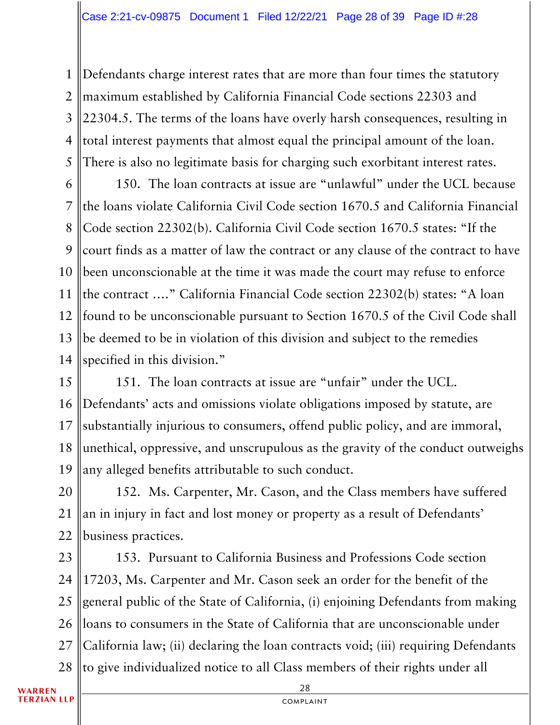1 2 3 4 5 Defendants charge interest rates that are more than four times the statutory maximum established by California Financial Code sections 22303 and 22304.5. The terms of the loans have overly harsh consequences, resulting in total interest payments that almost equal the principal amount of the loan. There is also no legitimate basis for charging such exorbitant interest rates.

6 7 8 9 10 11 12 13 14 150. The loan contracts at issue are "unlawful" under the UCL because the loans violate California Civil Code section 1670.5 and California Financial Code section 22302(b). California Civil Code section 1670.5 states: "If the court finds as a matter of law the contract or any clause of the contract to have been unconscionable at the time it was made the court may refuse to enforce the contract …." California Financial Code section 22302(b) states: "A loan found to be unconscionable pursuant to Section 1670.5 of the Civil Code shall be deemed to be in violation of this division and subject to the remedies specified in this division."

15 16 17 18 19 151. The loan contracts at issue are "unfair" under the UCL. Defendants' acts and omissions violate obligations imposed by statute, are substantially injurious to consumers, offend public policy, and are immoral, unethical, oppressive, and unscrupulous as the gravity of the conduct outweighs any alleged benefits attributable to such conduct.

20 21 22 152. Ms. Carpenter, Mr. Cason, and the Class members have suffered an in injury in fact and lost money or property as a result of Defendants' business practices.

23 24 25 26 27 28 153. Pursuant to California Business and Professions Code section 17203, Ms. Carpenter and Mr. Cason seek an order for the benefit of the general public of the State of California, (i) enjoining Defendants from making loans to consumers in the State of California that are unconscionable under California law; (ii) declaring the loan contracts void; (iii) requiring Defendants to give individualized notice to all Class members of their rights under all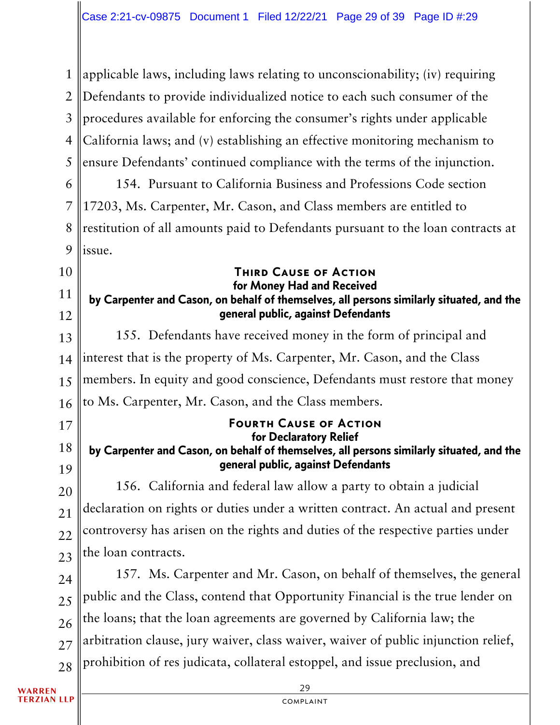1 2 3 4 5 6 7 8 9 10 11 12 13 14 15 16 17 18 19 20 21 22 23 24 25 26 27 28 applicable laws, including laws relating to unconscionability; (iv) requiring Defendants to provide individualized notice to each such consumer of the procedures available for enforcing the consumer's rights under applicable California laws; and (v) establishing an effective monitoring mechanism to ensure Defendants' continued compliance with the terms of the injunction. 154. Pursuant to California Business and Professions Code section 17203, Ms. Carpenter, Mr. Cason, and Class members are entitled to restitution of all amounts paid to Defendants pursuant to the loan contracts at issue. Third Cause of Action for Money Had and Received by Carpenter and Cason, on behalf of themselves, all persons similarly situated, and the general public, against Defendants 155. Defendants have received money in the form of principal and interest that is the property of Ms. Carpenter, Mr. Cason, and the Class members. In equity and good conscience, Defendants must restore that money to Ms. Carpenter, Mr. Cason, and the Class members. Fourth Cause of Action for Declaratory Relief by Carpenter and Cason, on behalf of themselves, all persons similarly situated, and the general public, against Defendants 156. California and federal law allow a party to obtain a judicial declaration on rights or duties under a written contract. An actual and present controversy has arisen on the rights and duties of the respective parties under the loan contracts. 157. Ms. Carpenter and Mr. Cason, on behalf of themselves, the general public and the Class, contend that Opportunity Financial is the true lender on the loans; that the loan agreements are governed by California law; the arbitration clause, jury waiver, class waiver, waiver of public injunction relief, prohibition of res judicata, collateral estoppel, and issue preclusion, and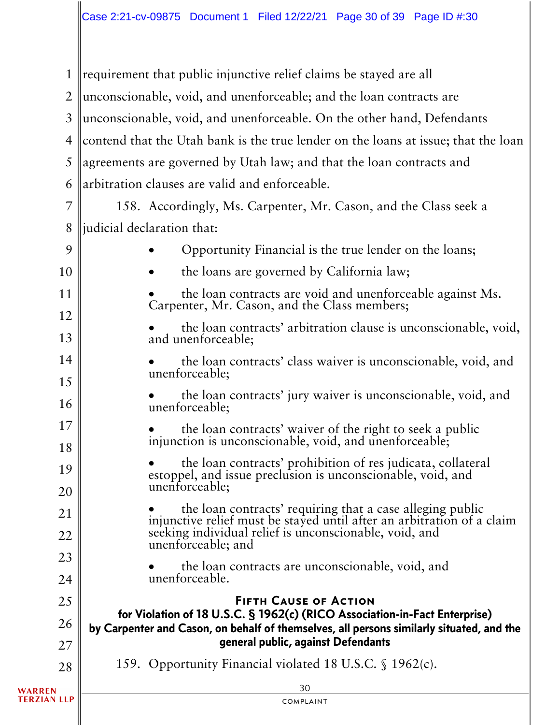requirement that public injunctive relief claims be stayed are all 1 2 unconscionable, void, and unenforceable; and the loan contracts are unconscionable, void, and unenforceable. On the other hand, Defendants 3 contend that the Utah bank is the true lender on the loans at issue; that the loan 4 agreements are governed by Utah law; and that the loan contracts and 5 arbitration clauses are valid and enforceable. 6 7 158. Accordingly, Ms. Carpenter, Mr. Cason, and the Class seek a 8 liudicial declaration that: • Opportunity Financial is the true lender on the loans; 9 • the loans are governed by California law; 10 • the loan contracts are void and unenforceable against Ms. 11 Carpenter, Mr. Cason, and the Class members; 12 • the loan contracts' arbitration clause is unconscionable, void, and unenforceable; 13 14 • the loan contracts' class waiver is unconscionable, void, and unenforceable; 15 • the loan contracts' jury waiver is unconscionable, void, and unenforceable; 16 17 • the loan contracts' waiver of the right to seek a public injunction is unconscionable, void, and unenforceable; 18 • the loan contracts' prohibition of res judicata, collateral 19 estoppel, and issue preclusion is unconscionable, void, and unenforceable; 20 • the loan contracts' requiring that a case alleging public injunctive relief must be stayed until after an arbitration of a claim 21 seeking individual relief is unconscionable, void, and 22 unenforceable; and 23 • the loan contracts are unconscionable, void, and unenforceable. 24 25 Fifth Cause of Action for Violation of 18 U.S.C. § 1962(c) (RICO Association-in-Fact Enterprise) 26 by Carpenter and Cason, on behalf of themselves, all persons similarly situated, and the general public, against Defendants 27 159. Opportunity Financial violated 18 U.S.C. § 1962(c). 28 30 **TERZIAN LLP** complaint

**WARREN**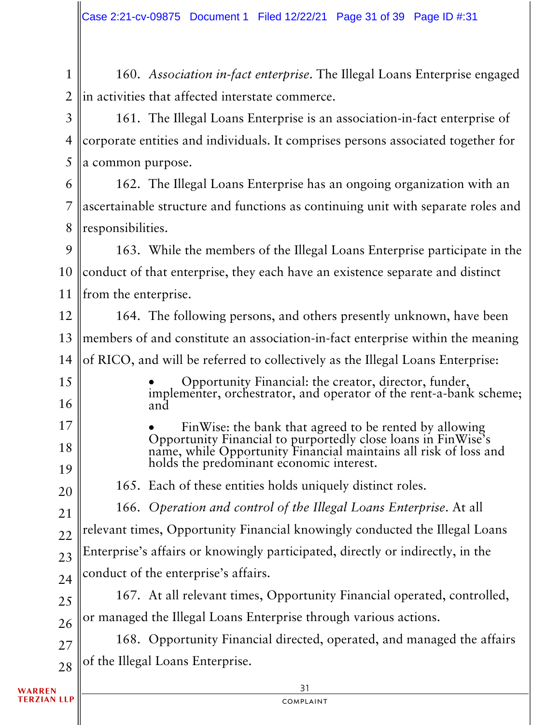1 2 160. *Association in-fact enterprise*. The Illegal Loans Enterprise engaged in activities that affected interstate commerce.

3 4 5 161. The Illegal Loans Enterprise is an association-in-fact enterprise of corporate entities and individuals. It comprises persons associated together for a common purpose.

6 7 8 162. The Illegal Loans Enterprise has an ongoing organization with an ascertainable structure and functions as continuing unit with separate roles and responsibilities.

9 10 11 163. While the members of the Illegal Loans Enterprise participate in the conduct of that enterprise, they each have an existence separate and distinct from the enterprise.

12 13 14 164. The following persons, and others presently unknown, have been members of and constitute an association-in-fact enterprise within the meaning of RICO, and will be referred to collectively as the Illegal Loans Enterprise:

• Opportunity Financial: the creator, director, funder, implementer, orchestrator, and operator of the rent-a-bank scheme; and

• FinWise: the bank that agreed to be rented by allowing Opportunity Financial to purportedly close loans in FinWise's name, while Opportunity Financial maintains all risk of loss and holds the predominant economic interest.

165. Each of these entities holds uniquely distinct roles.

166. *Operation and control of the Illegal Loans Enterprise*. At all relevant times, Opportunity Financial knowingly conducted the Illegal Loans

22 23 Enterprise's affairs or knowingly participated, directly or indirectly, in the

24 conduct of the enterprise's affairs.

25 26 167. At all relevant times, Opportunity Financial operated, controlled, or managed the Illegal Loans Enterprise through various actions.

27 28 168. Opportunity Financial directed, operated, and managed the affairs of the Illegal Loans Enterprise.

WARREN **TERZIAN LLP** 

15

16

17

18

19

20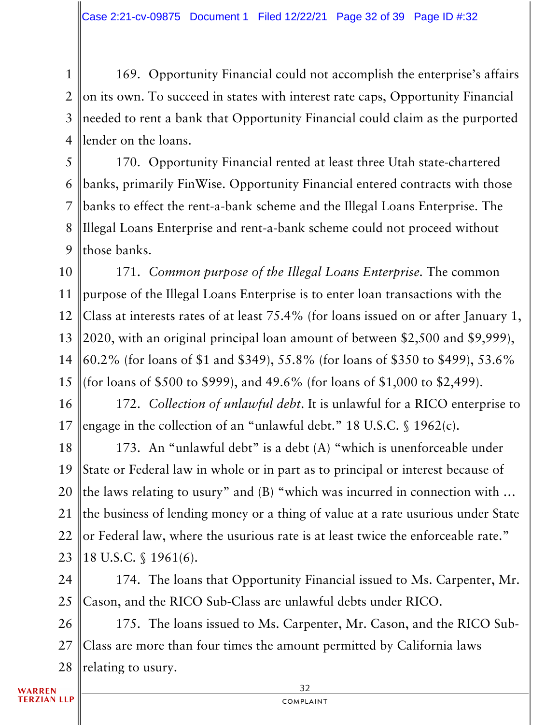1 2 3 4 169. Opportunity Financial could not accomplish the enterprise's affairs on its own. To succeed in states with interest rate caps, Opportunity Financial needed to rent a bank that Opportunity Financial could claim as the purported lender on the loans.

5 6 7 8 9 170. Opportunity Financial rented at least three Utah state-chartered banks, primarily FinWise. Opportunity Financial entered contracts with those banks to effect the rent-a-bank scheme and the Illegal Loans Enterprise. The Illegal Loans Enterprise and rent-a-bank scheme could not proceed without those banks.

10 11 12 13 14 15 171. *Common purpose of the Illegal Loans Enterprise.* The common purpose of the Illegal Loans Enterprise is to enter loan transactions with the Class at interests rates of at least 75.4% (for loans issued on or after January 1, 2020, with an original principal loan amount of between \$2,500 and \$9,999), 60.2% (for loans of \$1 and \$349), 55.8% (for loans of \$350 to \$499), 53.6% (for loans of \$500 to \$999), and 49.6% (for loans of \$1,000 to \$2,499).

16 17 172. *Collection of unlawful debt*. It is unlawful for a RICO enterprise to engage in the collection of an "unlawful debt." 18 U.S.C. § 1962(c).

18 19 20 21 22 23 173. An "unlawful debt" is a debt (A) "which is unenforceable under State or Federal law in whole or in part as to principal or interest because of the laws relating to usury" and (B) "which was incurred in connection with … the business of lending money or a thing of value at a rate usurious under State or Federal law, where the usurious rate is at least twice the enforceable rate." 18 U.S.C. § 1961(6).

24 25 174. The loans that Opportunity Financial issued to Ms. Carpenter, Mr. Cason, and the RICO Sub-Class are unlawful debts under RICO.

26 27 28 175. The loans issued to Ms. Carpenter, Mr. Cason, and the RICO Sub-Class are more than four times the amount permitted by California laws relating to usury.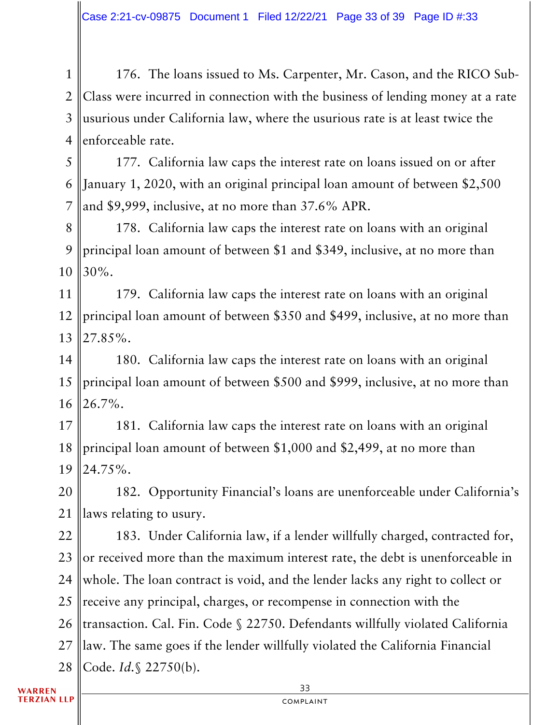1 2 3 4 176. The loans issued to Ms. Carpenter, Mr. Cason, and the RICO Sub-Class were incurred in connection with the business of lending money at a rate usurious under California law, where the usurious rate is at least twice the enforceable rate.

5 6 7 177. California law caps the interest rate on loans issued on or after January 1, 2020, with an original principal loan amount of between \$2,500 and \$9,999, inclusive, at no more than 37.6% APR.

8 9 10 178. California law caps the interest rate on loans with an original principal loan amount of between \$1 and \$349, inclusive, at no more than 30%.

11 12 13 179. California law caps the interest rate on loans with an original principal loan amount of between \$350 and \$499, inclusive, at no more than 27.85%.

14 15 16 180. California law caps the interest rate on loans with an original principal loan amount of between \$500 and \$999, inclusive, at no more than 26.7%.

17 18 19 181. California law caps the interest rate on loans with an original principal loan amount of between \$1,000 and \$2,499, at no more than 24.75%.

20 21 182. Opportunity Financial's loans are unenforceable under California's laws relating to usury.

22 23 24 25 26 27 28 183. Under California law, if a lender willfully charged, contracted for, or received more than the maximum interest rate, the debt is unenforceable in whole. The loan contract is void, and the lender lacks any right to collect or receive any principal, charges, or recompense in connection with the transaction. Cal. Fin. Code § 22750. Defendants willfully violated California law. The same goes if the lender willfully violated the California Financial Code. *Id.*§ 22750(b).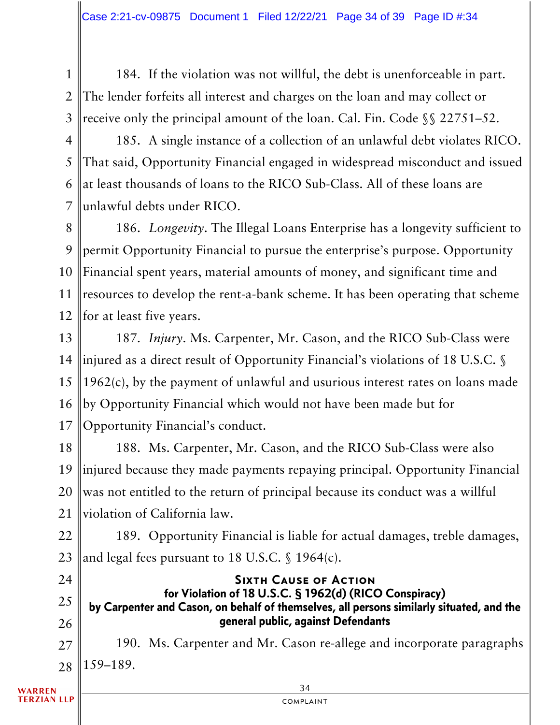1 2 3 184. If the violation was not willful, the debt is unenforceable in part. The lender forfeits all interest and charges on the loan and may collect or receive only the principal amount of the loan. Cal. Fin. Code §§ 22751–52.

4 5 6 7 185. A single instance of a collection of an unlawful debt violates RICO. That said, Opportunity Financial engaged in widespread misconduct and issued at least thousands of loans to the RICO Sub-Class. All of these loans are unlawful debts under RICO.

8 9 10 11 12 186. *Longevity*. The Illegal Loans Enterprise has a longevity sufficient to permit Opportunity Financial to pursue the enterprise's purpose. Opportunity Financial spent years, material amounts of money, and significant time and resources to develop the rent-a-bank scheme. It has been operating that scheme for at least five years.

13 14 15 16 17 187. *Injury*. Ms. Carpenter, Mr. Cason, and the RICO Sub-Class were injured as a direct result of Opportunity Financial's violations of 18 U.S.C. § 1962(c), by the payment of unlawful and usurious interest rates on loans made by Opportunity Financial which would not have been made but for Opportunity Financial's conduct.

18 19 20 21 188. Ms. Carpenter, Mr. Cason, and the RICO Sub-Class were also injured because they made payments repaying principal. Opportunity Financial was not entitled to the return of principal because its conduct was a willful violation of California law.

22 23 189. Opportunity Financial is liable for actual damages, treble damages, and legal fees pursuant to 18 U.S.C. § 1964(c).

24 25 26 Sixth Cause of Action for Violation of 18 U.S.C. § 1962(d) (RICO Conspiracy) by Carpenter and Cason, on behalf of themselves, all persons similarly situated, and the general public, against Defendants

27 28 190. Ms. Carpenter and Mr. Cason re-allege and incorporate paragraphs 159–189.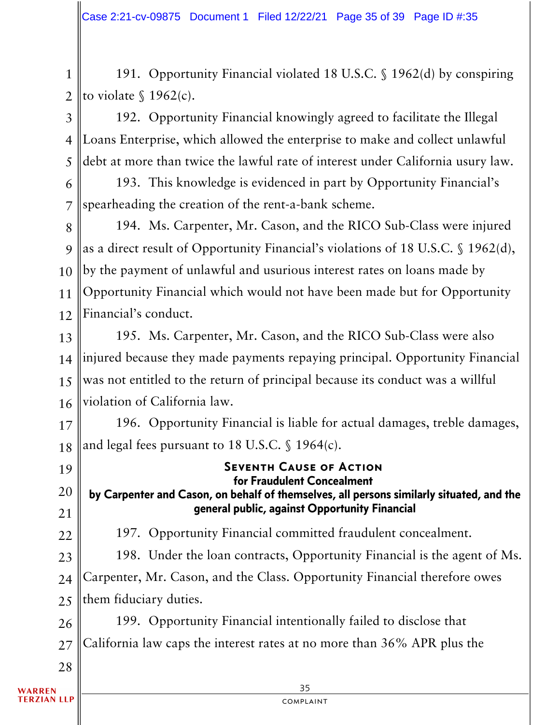1 2 191. Opportunity Financial violated 18 U.S.C. § 1962(d) by conspiring to violate  $\int$  1962(c).

3 4 5 192. Opportunity Financial knowingly agreed to facilitate the Illegal Loans Enterprise, which allowed the enterprise to make and collect unlawful debt at more than twice the lawful rate of interest under California usury law.

6 7 193. This knowledge is evidenced in part by Opportunity Financial's spearheading the creation of the rent-a-bank scheme.

8 9 10 11 12 194. Ms. Carpenter, Mr. Cason, and the RICO Sub-Class were injured as a direct result of Opportunity Financial's violations of 18 U.S.C. § 1962(d), by the payment of unlawful and usurious interest rates on loans made by Opportunity Financial which would not have been made but for Opportunity Financial's conduct.

13 14 15 16 195. Ms. Carpenter, Mr. Cason, and the RICO Sub-Class were also injured because they made payments repaying principal. Opportunity Financial was not entitled to the return of principal because its conduct was a willful violation of California law.

17 18 196. Opportunity Financial is liable for actual damages, treble damages, and legal fees pursuant to 18 U.S.C. § 1964(c).

35 19 20 21 22 23 24 25 26 27 28 Seventh Cause of Action for Fraudulent Concealment by Carpenter and Cason, on behalf of themselves, all persons similarly situated, and the general public, against Opportunity Financial 197. Opportunity Financial committed fraudulent concealment. 198. Under the loan contracts, Opportunity Financial is the agent of Ms. Carpenter, Mr. Cason, and the Class. Opportunity Financial therefore owes them fiduciary duties. 199. Opportunity Financial intentionally failed to disclose that California law caps the interest rates at no more than 36% APR plus the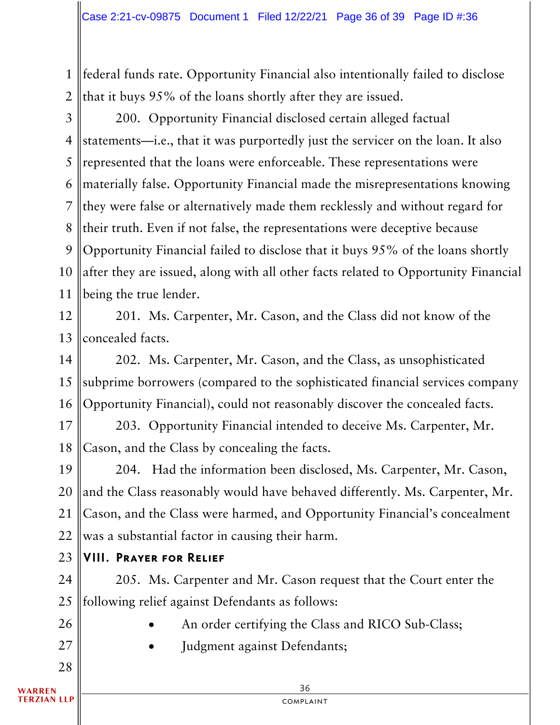1 2 federal funds rate. Opportunity Financial also intentionally failed to disclose that it buys 95% of the loans shortly after they are issued.

3

4 5 6 7 8 9 10 11 200. Opportunity Financial disclosed certain alleged factual statements—i.e., that it was purportedly just the servicer on the loan. It also represented that the loans were enforceable. These representations were materially false. Opportunity Financial made the misrepresentations knowing they were false or alternatively made them recklessly and without regard for their truth. Even if not false, the representations were deceptive because Opportunity Financial failed to disclose that it buys 95% of the loans shortly after they are issued, along with all other facts related to Opportunity Financial being the true lender.

12 13 201. Ms. Carpenter, Mr. Cason, and the Class did not know of the concealed facts.

14 15 16 202. Ms. Carpenter, Mr. Cason, and the Class, as unsophisticated subprime borrowers (compared to the sophisticated financial services company Opportunity Financial), could not reasonably discover the concealed facts.

17 18 203. Opportunity Financial intended to deceive Ms. Carpenter, Mr. Cason, and the Class by concealing the facts.

19 20 21 22 204. Had the information been disclosed, Ms. Carpenter, Mr. Cason, and the Class reasonably would have behaved differently. Ms. Carpenter, Mr. Cason, and the Class were harmed, and Opportunity Financial's concealment was a substantial factor in causing their harm.

23 VIII. Prayer for Relief

24 25 205. Ms. Carpenter and Mr. Cason request that the Court enter the following relief against Defendants as follows:

- An order certifying the Class and RICO Sub-Class;
	- Judgment against Defendants;

26

27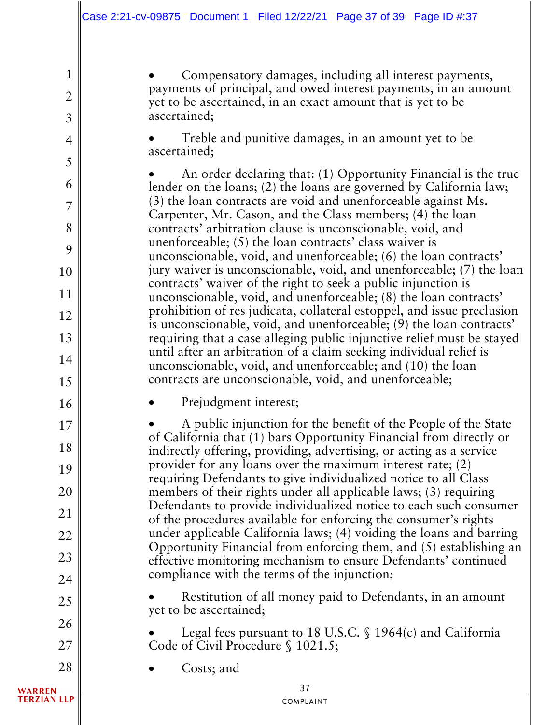• Compensatory damages, including all interest payments, payments of principal, and owed interest payments, in an amount yet to be ascertained, in an exact amount that is yet to be ascertained;

• Treble and punitive damages, in an amount yet to be ascertained;

• An order declaring that: (1) Opportunity Financial is the true lender on the loans; (2) the loans are governed by California law; (3) the loan contracts are void and unenforceable against Ms. Carpenter, Mr. Cason, and the Class members; (4) the loan contracts' arbitration clause is unconscionable, void, and unenforceable; (5) the loan contracts' class waiver is unconscionable, void, and unenforceable; (6) the loan contracts' jury waiver is unconscionable, void, and unenforceable; (7) the loan contracts' waiver of the right to seek a public injunction is unconscionable, void, and unenforceable; (8) the loan contracts' prohibition of res judicata, collateral estoppel, and issue preclusion is unconscionable, void, and unenforceable; (9) the loan contracts' requiring that a case alleging public injunctive relief must be stayed until after an arbitration of a claim seeking individual relief is unconscionable, void, and unenforceable; and (10) the loan contracts are unconscionable, void, and unenforceable;

Prejudgment interest;

• A public injunction for the benefit of the People of the State of California that (1) bars Opportunity Financial from directly or indirectly offering, providing, advertising, or acting as a service provider for any loans over the maximum interest rate; (2) requiring Defendants to give individualized notice to all Class members of their rights under all applicable laws; (3) requiring Defendants to provide individualized notice to each such consumer of the procedures available for enforcing the consumer's rights under applicable California laws; (4) voiding the loans and barring Opportunity Financial from enforcing them, and (5) establishing an effective monitoring mechanism to ensure Defendants' continued compliance with the terms of the injunction;

• Restitution of all money paid to Defendants, in an amount yet to be ascertained;

Legal fees pursuant to 18 U.S.C.  $\$$  1964(c) and California Code of Civil Procedure § 1021.5;

• Costs; and

1

2

3

4

5

6

7

8

9

10

11

12

13

14

15

16

17

18

19

20

21

22

23

24

25

26

27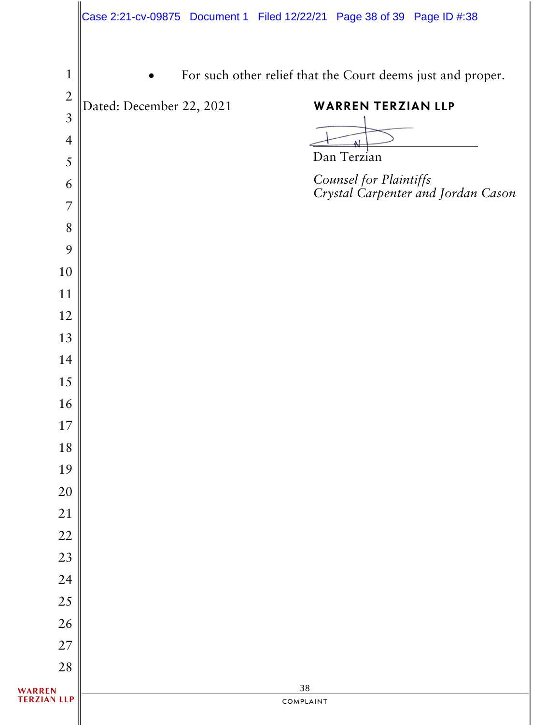|                                |                          | Case 2:21-cv-09875 Document 1 Filed 12/22/21 Page 38 of 39 Page ID #:38 |
|--------------------------------|--------------------------|-------------------------------------------------------------------------|
| $\mathbf{1}$<br>$\overline{2}$ |                          | For such other relief that the Court deems just and proper.             |
| $\mathfrak{Z}$                 | Dated: December 22, 2021 | <b>WARREN TERZIAN LLP</b>                                               |
| $\overline{4}$                 |                          |                                                                         |
| 5                              |                          | Dan Terzian                                                             |
| 6                              |                          | Counsel for Plaintiffs<br>Crystal Carpenter and Jordan Cason            |
| 7                              |                          |                                                                         |
| 8                              |                          |                                                                         |
| 9                              |                          |                                                                         |
| 10                             |                          |                                                                         |
| 11                             |                          |                                                                         |
| 12                             |                          |                                                                         |
| 13                             |                          |                                                                         |
| 14                             |                          |                                                                         |
| 15                             |                          |                                                                         |
| 16                             |                          |                                                                         |
| 17                             |                          |                                                                         |
| 18                             |                          |                                                                         |
| 19                             |                          |                                                                         |
| 20                             |                          |                                                                         |
| 21                             |                          |                                                                         |
| 22                             |                          |                                                                         |
| 23                             |                          |                                                                         |
| 24<br>$25\,$                   |                          |                                                                         |
| 26                             |                          |                                                                         |
| 27                             |                          |                                                                         |
| 28                             |                          |                                                                         |
| WARREN<br>TERZIAN LLP          |                          | 38                                                                      |
|                                |                          |                                                                         |